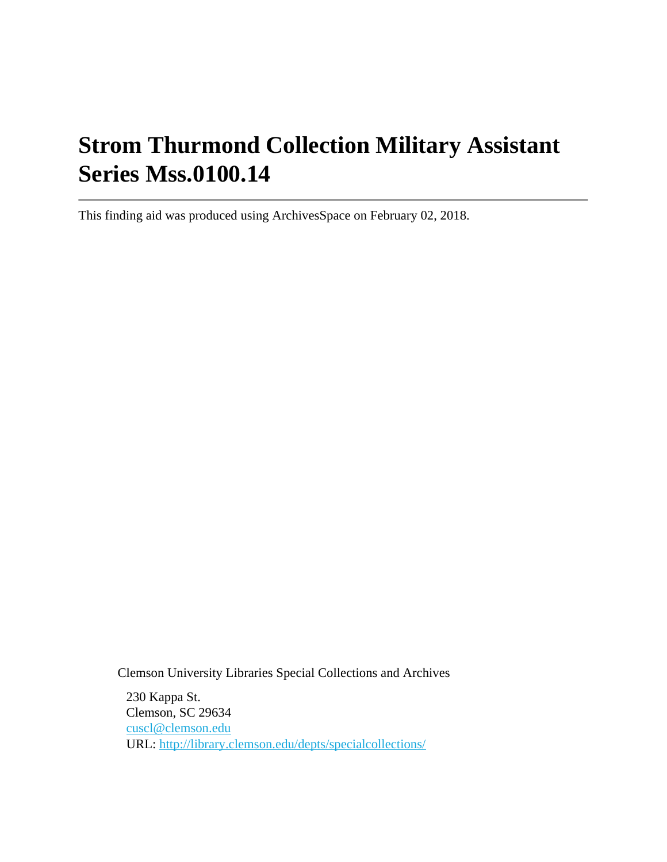# **Strom Thurmond Collection Military Assistant Series Mss.0100.14**

This finding aid was produced using ArchivesSpace on February 02, 2018.

Clemson University Libraries Special Collections and Archives

230 Kappa St. Clemson, SC 29634 [cuscl@clemson.edu](mailto:cuscl@clemson.edu) URL:<http://library.clemson.edu/depts/specialcollections/>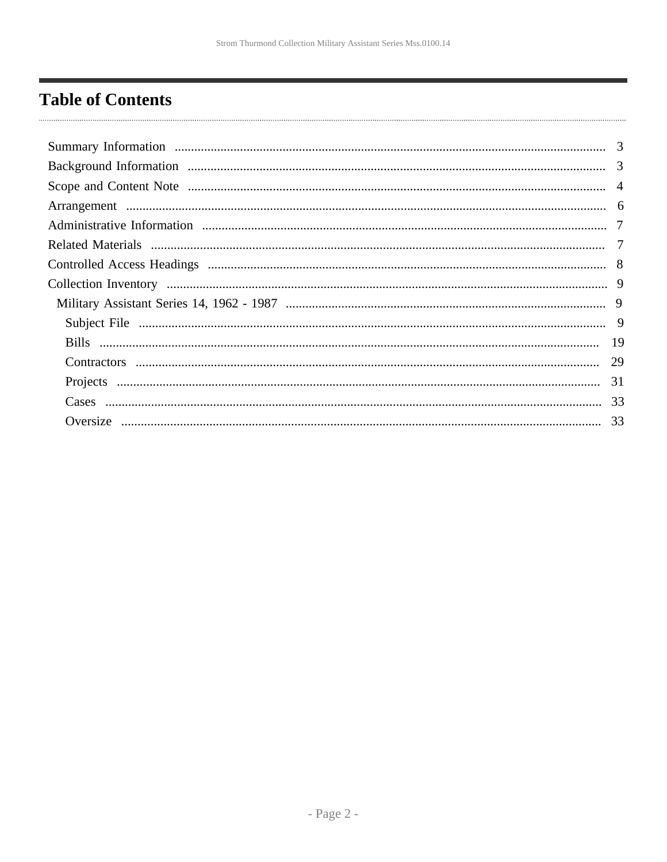## <span id="page-1-0"></span>**Table of Contents**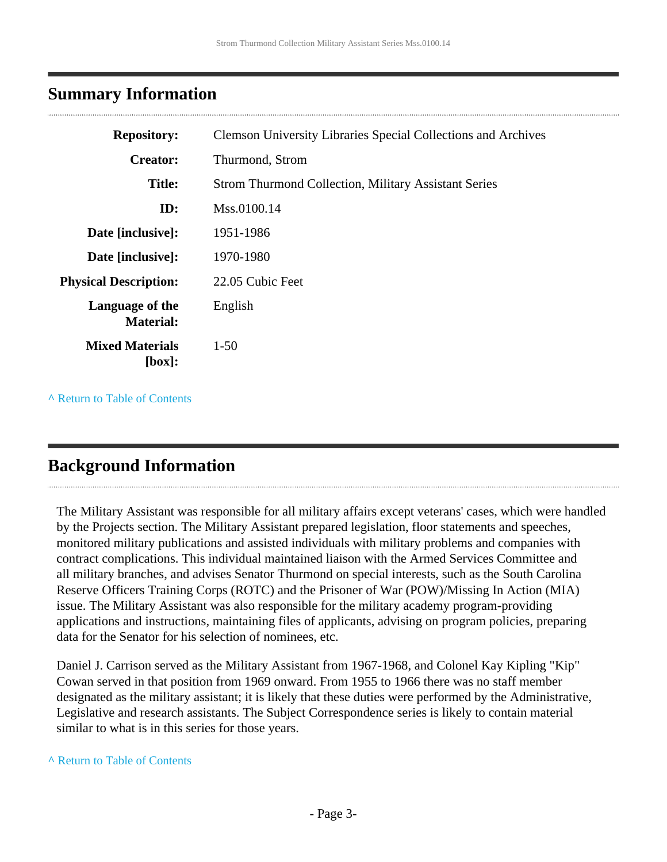### <span id="page-2-0"></span>**Summary Information**

| <b>Repository:</b>                  | <b>Clemson University Libraries Special Collections and Archives</b> |
|-------------------------------------|----------------------------------------------------------------------|
| <b>Creator:</b>                     | Thurmond, Strom                                                      |
| <b>Title:</b>                       | <b>Strom Thurmond Collection, Military Assistant Series</b>          |
| ID:                                 | Mss.0100.14                                                          |
| Date [inclusive]:                   | 1951-1986                                                            |
| Date [inclusive]:                   | 1970-1980                                                            |
| <b>Physical Description:</b>        | 22.05 Cubic Feet                                                     |
| Language of the<br><b>Material:</b> | English                                                              |
| <b>Mixed Materials</b><br>[box]:    | $1-50$                                                               |
|                                     |                                                                      |

**^** [Return to Table of Contents](#page-1-0)

## <span id="page-2-1"></span>**Background Information**

The Military Assistant was responsible for all military affairs except veterans' cases, which were handled by the Projects section. The Military Assistant prepared legislation, floor statements and speeches, monitored military publications and assisted individuals with military problems and companies with contract complications. This individual maintained liaison with the Armed Services Committee and all military branches, and advises Senator Thurmond on special interests, such as the South Carolina Reserve Officers Training Corps (ROTC) and the Prisoner of War (POW)/Missing In Action (MIA) issue. The Military Assistant was also responsible for the military academy program-providing applications and instructions, maintaining files of applicants, advising on program policies, preparing data for the Senator for his selection of nominees, etc.

Daniel J. Carrison served as the Military Assistant from 1967-1968, and Colonel Kay Kipling "Kip" Cowan served in that position from 1969 onward. From 1955 to 1966 there was no staff member designated as the military assistant; it is likely that these duties were performed by the Administrative, Legislative and research assistants. The Subject Correspondence series is likely to contain material similar to what is in this series for those years.

#### **^** [Return to Table of Contents](#page-1-0)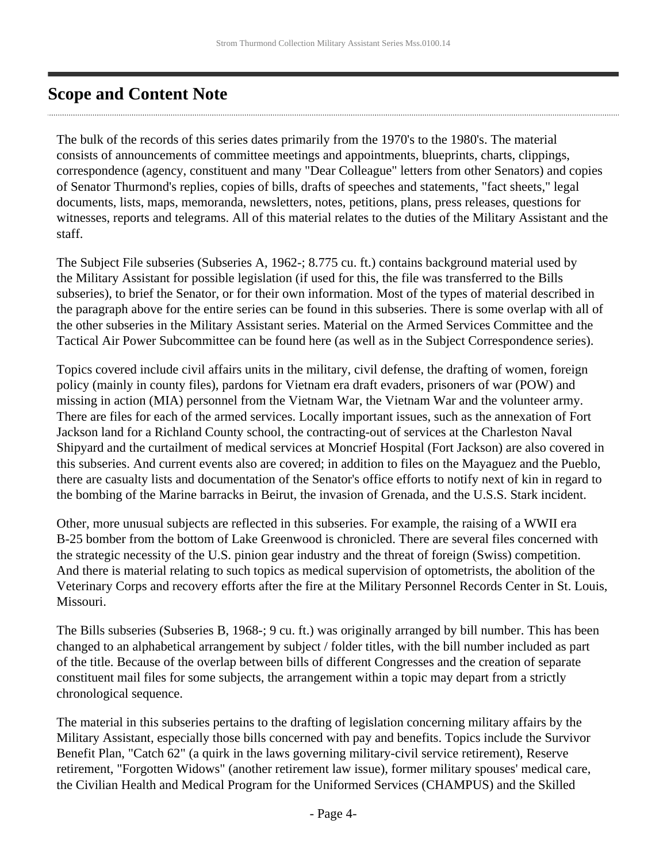## <span id="page-3-0"></span>**Scope and Content Note**

The bulk of the records of this series dates primarily from the 1970's to the 1980's. The material consists of announcements of committee meetings and appointments, blueprints, charts, clippings, correspondence (agency, constituent and many "Dear Colleague" letters from other Senators) and copies of Senator Thurmond's replies, copies of bills, drafts of speeches and statements, "fact sheets," legal documents, lists, maps, memoranda, newsletters, notes, petitions, plans, press releases, questions for witnesses, reports and telegrams. All of this material relates to the duties of the Military Assistant and the staff.

The Subject File subseries (Subseries A, 1962-; 8.775 cu. ft.) contains background material used by the Military Assistant for possible legislation (if used for this, the file was transferred to the Bills subseries), to brief the Senator, or for their own information. Most of the types of material described in the paragraph above for the entire series can be found in this subseries. There is some overlap with all of the other subseries in the Military Assistant series. Material on the Armed Services Committee and the Tactical Air Power Subcommittee can be found here (as well as in the Subject Correspondence series).

Topics covered include civil affairs units in the military, civil defense, the drafting of women, foreign policy (mainly in county files), pardons for Vietnam era draft evaders, prisoners of war (POW) and missing in action (MIA) personnel from the Vietnam War, the Vietnam War and the volunteer army. There are files for each of the armed services. Locally important issues, such as the annexation of Fort Jackson land for a Richland County school, the contracting-out of services at the Charleston Naval Shipyard and the curtailment of medical services at Moncrief Hospital (Fort Jackson) are also covered in this subseries. And current events also are covered; in addition to files on the Mayaguez and the Pueblo, there are casualty lists and documentation of the Senator's office efforts to notify next of kin in regard to the bombing of the Marine barracks in Beirut, the invasion of Grenada, and the U.S.S. Stark incident.

Other, more unusual subjects are reflected in this subseries. For example, the raising of a WWII era B-25 bomber from the bottom of Lake Greenwood is chronicled. There are several files concerned with the strategic necessity of the U.S. pinion gear industry and the threat of foreign (Swiss) competition. And there is material relating to such topics as medical supervision of optometrists, the abolition of the Veterinary Corps and recovery efforts after the fire at the Military Personnel Records Center in St. Louis, Missouri.

The Bills subseries (Subseries B, 1968-; 9 cu. ft.) was originally arranged by bill number. This has been changed to an alphabetical arrangement by subject / folder titles, with the bill number included as part of the title. Because of the overlap between bills of different Congresses and the creation of separate constituent mail files for some subjects, the arrangement within a topic may depart from a strictly chronological sequence.

The material in this subseries pertains to the drafting of legislation concerning military affairs by the Military Assistant, especially those bills concerned with pay and benefits. Topics include the Survivor Benefit Plan, "Catch 62" (a quirk in the laws governing military-civil service retirement), Reserve retirement, "Forgotten Widows" (another retirement law issue), former military spouses' medical care, the Civilian Health and Medical Program for the Uniformed Services (CHAMPUS) and the Skilled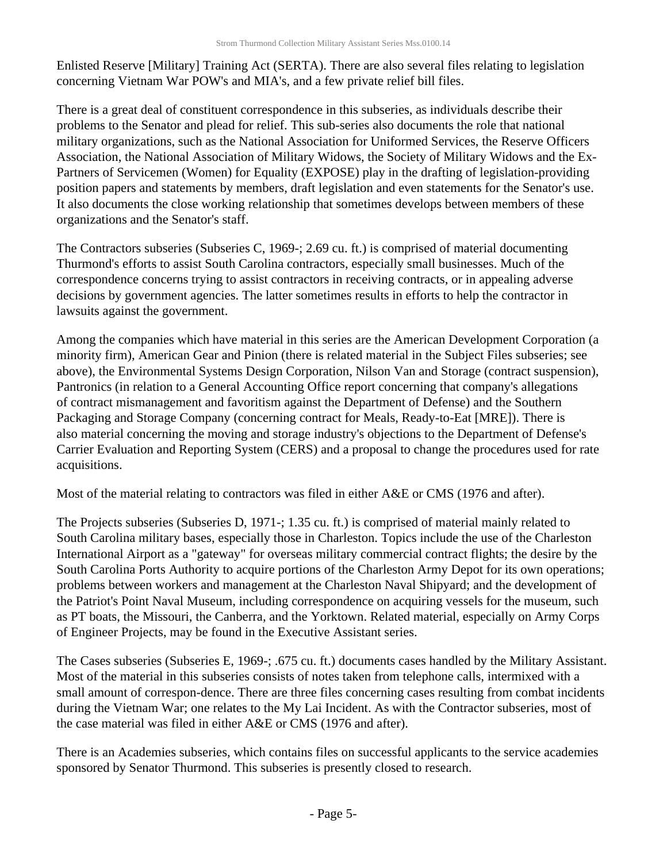Enlisted Reserve [Military] Training Act (SERTA). There are also several files relating to legislation concerning Vietnam War POW's and MIA's, and a few private relief bill files.

There is a great deal of constituent correspondence in this subseries, as individuals describe their problems to the Senator and plead for relief. This sub-series also documents the role that national military organizations, such as the National Association for Uniformed Services, the Reserve Officers Association, the National Association of Military Widows, the Society of Military Widows and the Ex-Partners of Servicemen (Women) for Equality (EXPOSE) play in the drafting of legislation-providing position papers and statements by members, draft legislation and even statements for the Senator's use. It also documents the close working relationship that sometimes develops between members of these organizations and the Senator's staff.

The Contractors subseries (Subseries C, 1969-; 2.69 cu. ft.) is comprised of material documenting Thurmond's efforts to assist South Carolina contractors, especially small businesses. Much of the correspondence concerns trying to assist contractors in receiving contracts, or in appealing adverse decisions by government agencies. The latter sometimes results in efforts to help the contractor in lawsuits against the government.

Among the companies which have material in this series are the American Development Corporation (a minority firm), American Gear and Pinion (there is related material in the Subject Files subseries; see above), the Environmental Systems Design Corporation, Nilson Van and Storage (contract suspension), Pantronics (in relation to a General Accounting Office report concerning that company's allegations of contract mismanagement and favoritism against the Department of Defense) and the Southern Packaging and Storage Company (concerning contract for Meals, Ready-to-Eat [MRE]). There is also material concerning the moving and storage industry's objections to the Department of Defense's Carrier Evaluation and Reporting System (CERS) and a proposal to change the procedures used for rate acquisitions.

Most of the material relating to contractors was filed in either A&E or CMS (1976 and after).

The Projects subseries (Subseries D, 1971-; 1.35 cu. ft.) is comprised of material mainly related to South Carolina military bases, especially those in Charleston. Topics include the use of the Charleston International Airport as a "gateway" for overseas military commercial contract flights; the desire by the South Carolina Ports Authority to acquire portions of the Charleston Army Depot for its own operations; problems between workers and management at the Charleston Naval Shipyard; and the development of the Patriot's Point Naval Museum, including correspondence on acquiring vessels for the museum, such as PT boats, the Missouri, the Canberra, and the Yorktown. Related material, especially on Army Corps of Engineer Projects, may be found in the Executive Assistant series.

The Cases subseries (Subseries E, 1969-; .675 cu. ft.) documents cases handled by the Military Assistant. Most of the material in this subseries consists of notes taken from telephone calls, intermixed with a small amount of correspon-dence. There are three files concerning cases resulting from combat incidents during the Vietnam War; one relates to the My Lai Incident. As with the Contractor subseries, most of the case material was filed in either A&E or CMS (1976 and after).

There is an Academies subseries, which contains files on successful applicants to the service academies sponsored by Senator Thurmond. This subseries is presently closed to research.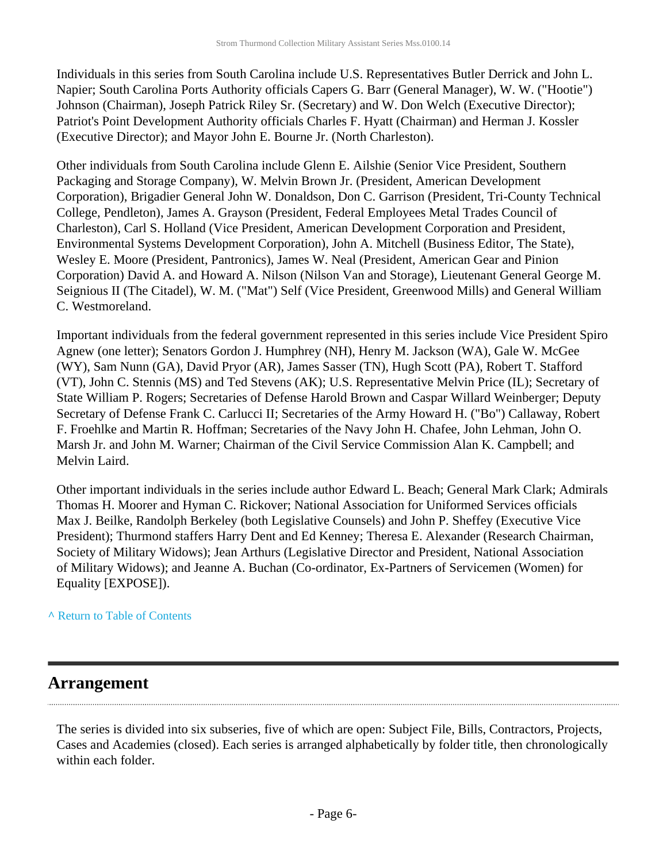Individuals in this series from South Carolina include U.S. Representatives Butler Derrick and John L. Napier; South Carolina Ports Authority officials Capers G. Barr (General Manager), W. W. ("Hootie") Johnson (Chairman), Joseph Patrick Riley Sr. (Secretary) and W. Don Welch (Executive Director); Patriot's Point Development Authority officials Charles F. Hyatt (Chairman) and Herman J. Kossler (Executive Director); and Mayor John E. Bourne Jr. (North Charleston).

Other individuals from South Carolina include Glenn E. Ailshie (Senior Vice President, Southern Packaging and Storage Company), W. Melvin Brown Jr. (President, American Development Corporation), Brigadier General John W. Donaldson, Don C. Garrison (President, Tri-County Technical College, Pendleton), James A. Grayson (President, Federal Employees Metal Trades Council of Charleston), Carl S. Holland (Vice President, American Development Corporation and President, Environmental Systems Development Corporation), John A. Mitchell (Business Editor, The State), Wesley E. Moore (President, Pantronics), James W. Neal (President, American Gear and Pinion Corporation) David A. and Howard A. Nilson (Nilson Van and Storage), Lieutenant General George M. Seignious II (The Citadel), W. M. ("Mat") Self (Vice President, Greenwood Mills) and General William C. Westmoreland.

Important individuals from the federal government represented in this series include Vice President Spiro Agnew (one letter); Senators Gordon J. Humphrey (NH), Henry M. Jackson (WA), Gale W. McGee (WY), Sam Nunn (GA), David Pryor (AR), James Sasser (TN), Hugh Scott (PA), Robert T. Stafford (VT), John C. Stennis (MS) and Ted Stevens (AK); U.S. Representative Melvin Price (IL); Secretary of State William P. Rogers; Secretaries of Defense Harold Brown and Caspar Willard Weinberger; Deputy Secretary of Defense Frank C. Carlucci II; Secretaries of the Army Howard H. ("Bo") Callaway, Robert F. Froehlke and Martin R. Hoffman; Secretaries of the Navy John H. Chafee, John Lehman, John O. Marsh Jr. and John M. Warner; Chairman of the Civil Service Commission Alan K. Campbell; and Melvin Laird.

Other important individuals in the series include author Edward L. Beach; General Mark Clark; Admirals Thomas H. Moorer and Hyman C. Rickover; National Association for Uniformed Services officials Max J. Beilke, Randolph Berkeley (both Legislative Counsels) and John P. Sheffey (Executive Vice President); Thurmond staffers Harry Dent and Ed Kenney; Theresa E. Alexander (Research Chairman, Society of Military Widows); Jean Arthurs (Legislative Director and President, National Association of Military Widows); and Jeanne A. Buchan (Co-ordinator, Ex-Partners of Servicemen (Women) for Equality [EXPOSE]).

#### **^** [Return to Table of Contents](#page-1-0)

#### <span id="page-5-0"></span>**Arrangement**

The series is divided into six subseries, five of which are open: Subject File, Bills, Contractors, Projects, Cases and Academies (closed). Each series is arranged alphabetically by folder title, then chronologically within each folder.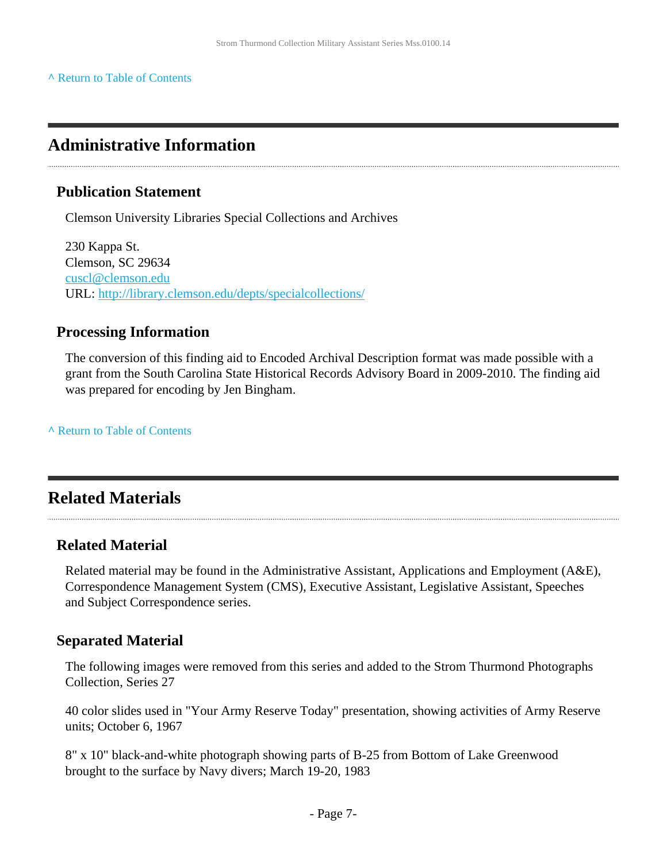**^** [Return to Table of Contents](#page-1-0)

### <span id="page-6-0"></span>**Administrative Information**

#### **Publication Statement**

Clemson University Libraries Special Collections and Archives

230 Kappa St. Clemson, SC 29634 [cuscl@clemson.edu](mailto:cuscl@clemson.edu) URL:<http://library.clemson.edu/depts/specialcollections/>

#### **Processing Information**

The conversion of this finding aid to Encoded Archival Description format was made possible with a grant from the South Carolina State Historical Records Advisory Board in 2009-2010. The finding aid was prepared for encoding by Jen Bingham.

**^** [Return to Table of Contents](#page-1-0)

### <span id="page-6-1"></span>**Related Materials**

#### **Related Material**

Related material may be found in the Administrative Assistant, Applications and Employment (A&E), Correspondence Management System (CMS), Executive Assistant, Legislative Assistant, Speeches and Subject Correspondence series.

#### **Separated Material**

The following images were removed from this series and added to the Strom Thurmond Photographs Collection, Series 27

40 color slides used in "Your Army Reserve Today" presentation, showing activities of Army Reserve units; October 6, 1967

8" x 10" black-and-white photograph showing parts of B-25 from Bottom of Lake Greenwood brought to the surface by Navy divers; March 19-20, 1983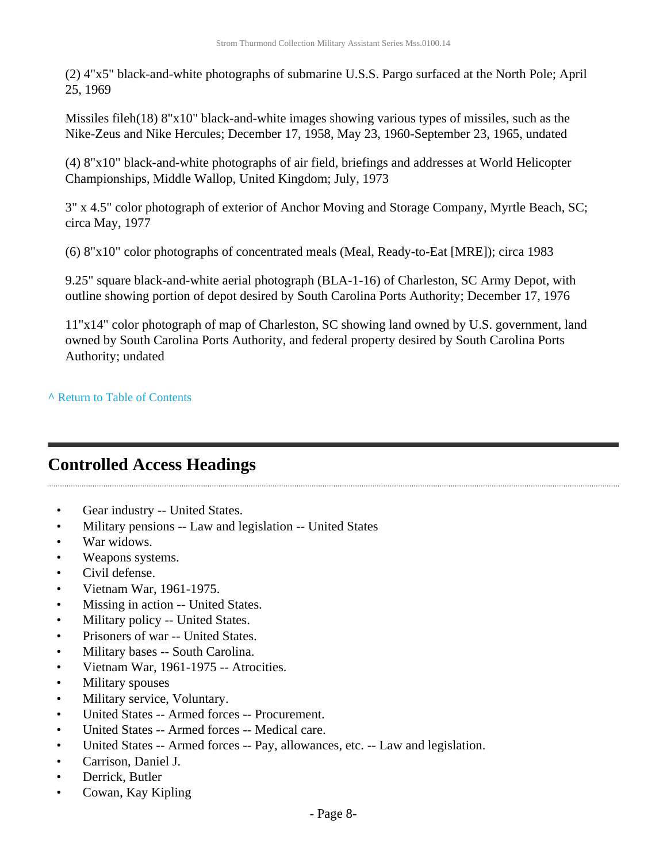(2) 4"x5" black-and-white photographs of submarine U.S.S. Pargo surfaced at the North Pole; April 25, 1969

Missiles fileh(18) 8"x10" black-and-white images showing various types of missiles, such as the Nike-Zeus and Nike Hercules; December 17, 1958, May 23, 1960-September 23, 1965, undated

(4) 8"x10" black-and-white photographs of air field, briefings and addresses at World Helicopter Championships, Middle Wallop, United Kingdom; July, 1973

3" x 4.5" color photograph of exterior of Anchor Moving and Storage Company, Myrtle Beach, SC; circa May, 1977

(6) 8"x10" color photographs of concentrated meals (Meal, Ready-to-Eat [MRE]); circa 1983

9.25" square black-and-white aerial photograph (BLA-1-16) of Charleston, SC Army Depot, with outline showing portion of depot desired by South Carolina Ports Authority; December 17, 1976

11"x14" color photograph of map of Charleston, SC showing land owned by U.S. government, land owned by South Carolina Ports Authority, and federal property desired by South Carolina Ports Authority; undated

**^** [Return to Table of Contents](#page-1-0)

## <span id="page-7-0"></span>**Controlled Access Headings**

- Gear industry -- United States.
- Military pensions -- Law and legislation -- United States
- War widows.
- Weapons systems.
- Civil defense.
- Vietnam War, 1961-1975.
- Missing in action -- United States.
- Military policy -- United States.
- Prisoners of war -- United States.
- Military bases -- South Carolina.
- Vietnam War, 1961-1975 -- Atrocities.
- Military spouses
- Military service, Voluntary.
- United States -- Armed forces -- Procurement.
- United States -- Armed forces -- Medical care.
- United States -- Armed forces -- Pay, allowances, etc. -- Law and legislation.
- Carrison, Daniel J.
- Derrick, Butler
- Cowan, Kay Kipling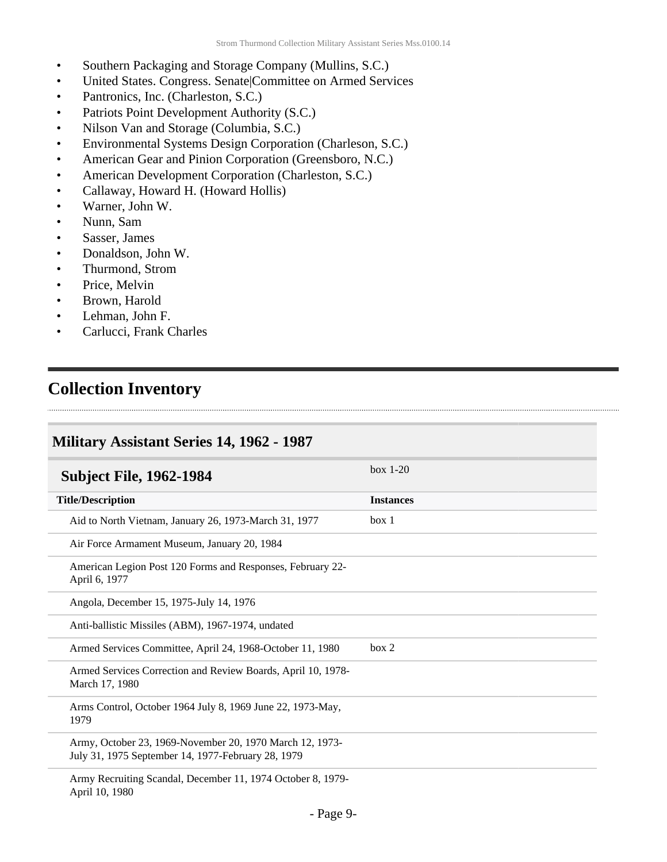- Southern Packaging and Storage Company (Mullins, S.C.)
- United States. Congress. Senate|Committee on Armed Services
- Pantronics, Inc. (Charleston, S.C.)
- Patriots Point Development Authority (S.C.)
- Nilson Van and Storage (Columbia, S.C.)
- Environmental Systems Design Corporation (Charleson, S.C.)

- American Gear and Pinion Corporation (Greensboro, N.C.)
- American Development Corporation (Charleston, S.C.)
- Callaway, Howard H. (Howard Hollis)
- Warner, John W.
- Nunn, Sam
- Sasser, James
- Donaldson, John W.
- Thurmond, Strom
- Price, Melvin
- Brown, Harold
- Lehman, John F.
- Carlucci, Frank Charles

### <span id="page-8-0"></span>**Collection Inventory**

#### <span id="page-8-1"></span>**Military Assistant Series 14, 1962 - 1987**

<span id="page-8-2"></span>

| <b>Subject File, 1962-1984</b>                                                                                 | $box 1-20$       |
|----------------------------------------------------------------------------------------------------------------|------------------|
| <b>Title/Description</b>                                                                                       | <b>Instances</b> |
| Aid to North Vietnam, January 26, 1973-March 31, 1977                                                          | box 1            |
| Air Force Armament Museum, January 20, 1984                                                                    |                  |
| American Legion Post 120 Forms and Responses, February 22-<br>April 6, 1977                                    |                  |
| Angola, December 15, 1975-July 14, 1976                                                                        |                  |
| Anti-ballistic Missiles (ABM), 1967-1974, undated                                                              |                  |
| Armed Services Committee, April 24, 1968-October 11, 1980                                                      | box 2            |
| Armed Services Correction and Review Boards, April 10, 1978-<br>March 17, 1980                                 |                  |
| Arms Control, October 1964 July 8, 1969 June 22, 1973-May,<br>1979                                             |                  |
| Army, October 23, 1969-November 20, 1970 March 12, 1973-<br>July 31, 1975 September 14, 1977-February 28, 1979 |                  |
| Army Recruiting Scandal, December 11, 1974 October 8, 1979-<br>April 10, 1980                                  |                  |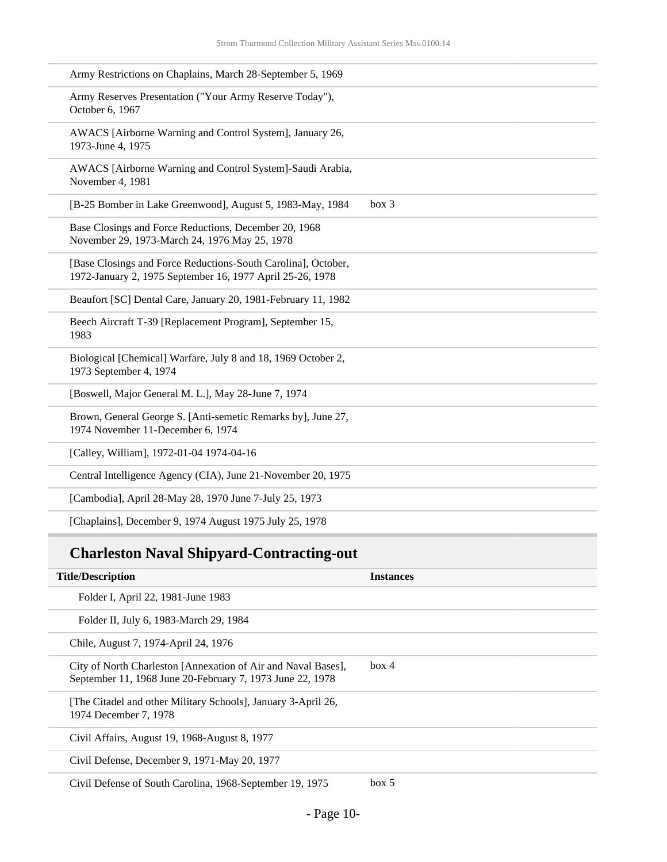| Army Restrictions on Chaplains, March 28-September 5, 1969                                                                 |
|----------------------------------------------------------------------------------------------------------------------------|
| Army Reserves Presentation ("Your Army Reserve Today"),<br>October 6, 1967                                                 |
| AWACS [Airborne Warning and Control System], January 26,<br>1973-June 4, 1975                                              |
| AWACS [Airborne Warning and Control System]-Saudi Arabia,<br>November 4, 1981                                              |
| box 3<br>[B-25 Bomber in Lake Greenwood], August 5, 1983-May, 1984                                                         |
| Base Closings and Force Reductions, December 20, 1968<br>November 29, 1973-March 24, 1976 May 25, 1978                     |
| [Base Closings and Force Reductions-South Carolina], October,<br>1972-January 2, 1975 September 16, 1977 April 25-26, 1978 |
| Beaufort [SC] Dental Care, January 20, 1981-February 11, 1982                                                              |
| Beech Aircraft T-39 [Replacement Program], September 15,<br>1983                                                           |
| Biological [Chemical] Warfare, July 8 and 18, 1969 October 2,<br>1973 September 4, 1974                                    |
| [Boswell, Major General M. L.], May 28-June 7, 1974                                                                        |
| Brown, General George S. [Anti-semetic Remarks by], June 27,<br>1974 November 11-December 6, 1974                          |
| [Calley, William], 1972-01-04 1974-04-16                                                                                   |
| Central Intelligence Agency (CIA), June 21-November 20, 1975                                                               |
| [Cambodia], April 28-May 28, 1970 June 7-July 25, 1973                                                                     |
| [Chaplains], December 9, 1974 August 1975 July 25, 1978                                                                    |
|                                                                                                                            |

## **Charleston Naval Shipyard-Contracting-out**

| <b>Title/Description</b>                                                                                                   | <b>Instances</b> |
|----------------------------------------------------------------------------------------------------------------------------|------------------|
| Folder I, April 22, 1981-June 1983                                                                                         |                  |
| Folder II, July 6, 1983-March 29, 1984                                                                                     |                  |
| Chile, August 7, 1974-April 24, 1976                                                                                       |                  |
| City of North Charleston [Annexation of Air and Naval Bases],<br>September 11, 1968 June 20-February 7, 1973 June 22, 1978 | box 4            |
| [The Citadel and other Military Schools], January 3-April 26,<br>1974 December 7, 1978                                     |                  |
| Civil Affairs, August 19, 1968-August 8, 1977                                                                              |                  |
| Civil Defense, December 9, 1971-May 20, 1977                                                                               |                  |
| Civil Defense of South Carolina, 1968-September 19, 1975                                                                   | box 5            |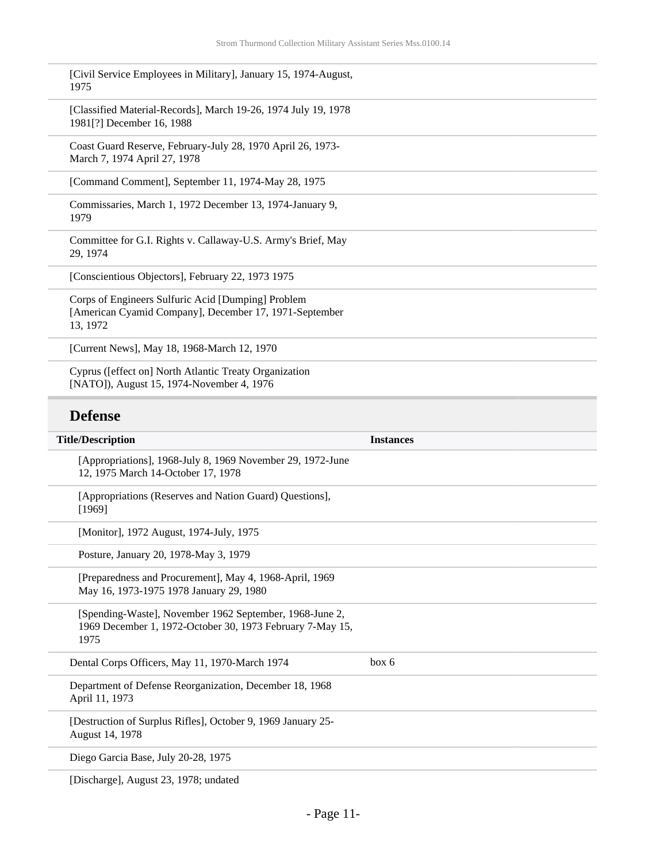| [Civil Service Employees in Military], January 15, 1974-August, |  |
|-----------------------------------------------------------------|--|
| 1975                                                            |  |

[Classified Material-Records], March 19-26, 1974 July 19, 1978 1981[?] December 16, 1988

Coast Guard Reserve, February-July 28, 1970 April 26, 1973- March 7, 1974 April 27, 1978

[Command Comment], September 11, 1974-May 28, 1975

Commissaries, March 1, 1972 December 13, 1974-January 9, 1979

Committee for G.I. Rights v. Callaway-U.S. Army's Brief, May 29, 1974

[Conscientious Objectors], February 22, 1973 1975

Corps of Engineers Sulfuric Acid [Dumping] Problem [American Cyamid Company], December 17, 1971-September 13, 1972

[Current News], May 18, 1968-March 12, 1970

Cyprus ([effect on] North Atlantic Treaty Organization [NATO]), August 15, 1974-November 4, 1976

#### **Defense**

| <b>Title/Description</b>                                                                                                     | <b>Instances</b> |
|------------------------------------------------------------------------------------------------------------------------------|------------------|
| [Appropriations], 1968-July 8, 1969 November 29, 1972-June<br>12, 1975 March 14-October 17, 1978                             |                  |
| [Appropriations (Reserves and Nation Guard) Questions],<br>[1969]                                                            |                  |
| [Monitor], 1972 August, 1974-July, 1975                                                                                      |                  |
| Posture, January 20, 1978-May 3, 1979                                                                                        |                  |
| [Preparedness and Procurement], May 4, 1968-April, 1969<br>May 16, 1973-1975 1978 January 29, 1980                           |                  |
| [Spending-Waste], November 1962 September, 1968-June 2,<br>1969 December 1, 1972-October 30, 1973 February 7-May 15,<br>1975 |                  |
| Dental Corps Officers, May 11, 1970-March 1974                                                                               | box 6            |
| Department of Defense Reorganization, December 18, 1968<br>April 11, 1973                                                    |                  |
| [Destruction of Surplus Rifles], October 9, 1969 January 25-<br>August 14, 1978                                              |                  |
| Diego Garcia Base, July 20-28, 1975                                                                                          |                  |

[Discharge], August 23, 1978; undated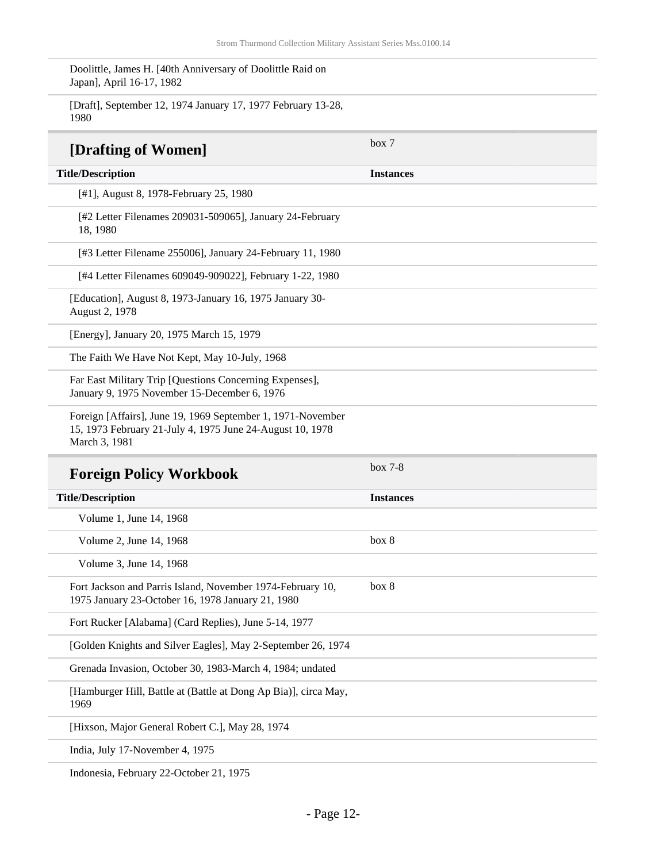Doolittle, James H. [40th Anniversary of Doolittle Raid on Japan], April 16-17, 1982

[Draft], September 12, 1974 January 17, 1977 February 13-28, 1980 **[Drafting of Women]** box 7 **Title/Description Instances** [#1], August 8, 1978-February 25, 1980 [#2 Letter Filenames 209031-509065], January 24-February 18, 1980 [#3 Letter Filename 255006], January 24-February 11, 1980 [#4 Letter Filenames 609049-909022], February 1-22, 1980 [Education], August 8, 1973-January 16, 1975 January 30- August 2, 1978 [Energy], January 20, 1975 March 15, 1979 The Faith We Have Not Kept, May 10-July, 1968 Far East Military Trip [Questions Concerning Expenses], January 9, 1975 November 15-December 6, 1976 Foreign [Affairs], June 19, 1969 September 1, 1971-November 15, 1973 February 21-July 4, 1975 June 24-August 10, 1978 March 3, 1981 **Foreign Policy Workbook** box 7-8 **Title/Description Instances** Volume 1, June 14, 1968 Volume 2, June 14, 1968 box 8 Volume 3, June 14, 1968 Fort Jackson and Parris Island, November 1974-February 10, 1975 January 23-October 16, 1978 January 21, 1980 box 8 Fort Rucker [Alabama] (Card Replies), June 5-14, 1977 [Golden Knights and Silver Eagles], May 2-September 26, 1974 Grenada Invasion, October 30, 1983-March 4, 1984; undated [Hamburger Hill, Battle at (Battle at Dong Ap Bia)], circa May, 1969

[Hixson, Major General Robert C.], May 28, 1974

India, July 17-November 4, 1975

Indonesia, February 22-October 21, 1975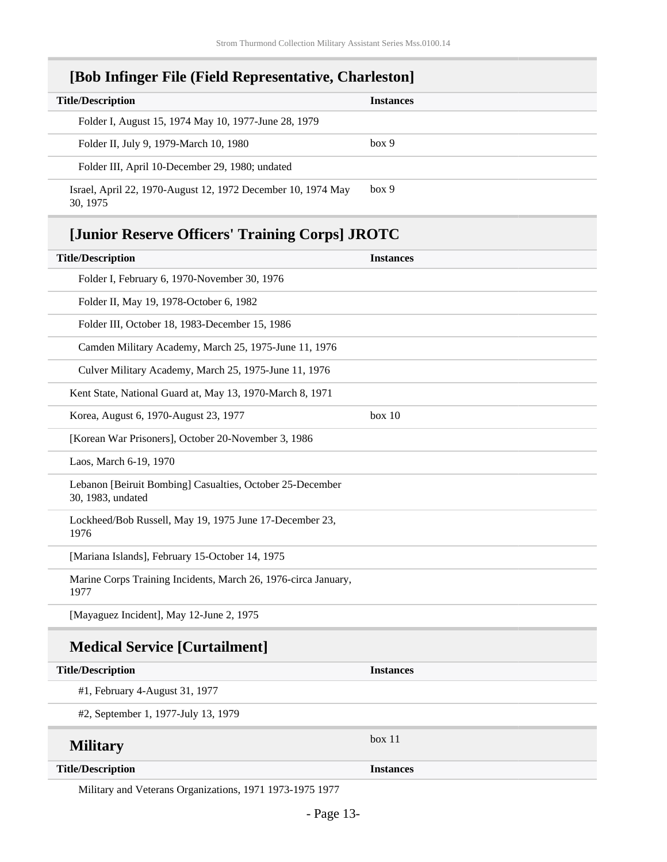### **[Bob Infinger File (Field Representative, Charleston]**

| <b>Title/Description</b>                                                 | <b>Instances</b> |
|--------------------------------------------------------------------------|------------------|
| Folder I, August 15, 1974 May 10, 1977-June 28, 1979                     |                  |
| Folder II, July 9, 1979-March 10, 1980                                   | box 9            |
| Folder III, April 10-December 29, 1980; undated                          |                  |
| Israel, April 22, 1970-August 12, 1972 December 10, 1974 May<br>30, 1975 | box 9            |

### **[Junior Reserve Officers' Training Corps] JROTC**

| <b>Title/Description</b>                                                       | <b>Instances</b> |
|--------------------------------------------------------------------------------|------------------|
| Folder I, February 6, 1970-November 30, 1976                                   |                  |
| Folder II, May 19, 1978-October 6, 1982                                        |                  |
| Folder III, October 18, 1983-December 15, 1986                                 |                  |
| Camden Military Academy, March 25, 1975-June 11, 1976                          |                  |
| Culver Military Academy, March 25, 1975-June 11, 1976                          |                  |
| Kent State, National Guard at, May 13, 1970-March 8, 1971                      |                  |
| Korea, August 6, 1970-August 23, 1977                                          | box 10           |
| [Korean War Prisoners], October 20-November 3, 1986                            |                  |
| Laos, March 6-19, 1970                                                         |                  |
| Lebanon [Beiruit Bombing] Casualties, October 25-December<br>30, 1983, undated |                  |
| Lockheed/Bob Russell, May 19, 1975 June 17-December 23,<br>1976                |                  |
| [Mariana Islands], February 15-October 14, 1975                                |                  |
| Marine Corps Training Incidents, March 26, 1976-circa January,<br>1977         |                  |
| [Mayaguez Incident], May 12-June 2, 1975                                       |                  |
| <b>Medical Service [Curtailment]</b>                                           |                  |
| <b>Title/Description</b>                                                       | <b>Instances</b> |
| #1, February 4-August 31, 1977                                                 |                  |
| #2, September 1, 1977-July 13, 1979                                            |                  |
| <b>Military</b>                                                                | box 11           |
| <b>Title/Description</b>                                                       | <b>Instances</b> |

Military and Veterans Organizations, 1971 1973-1975 1977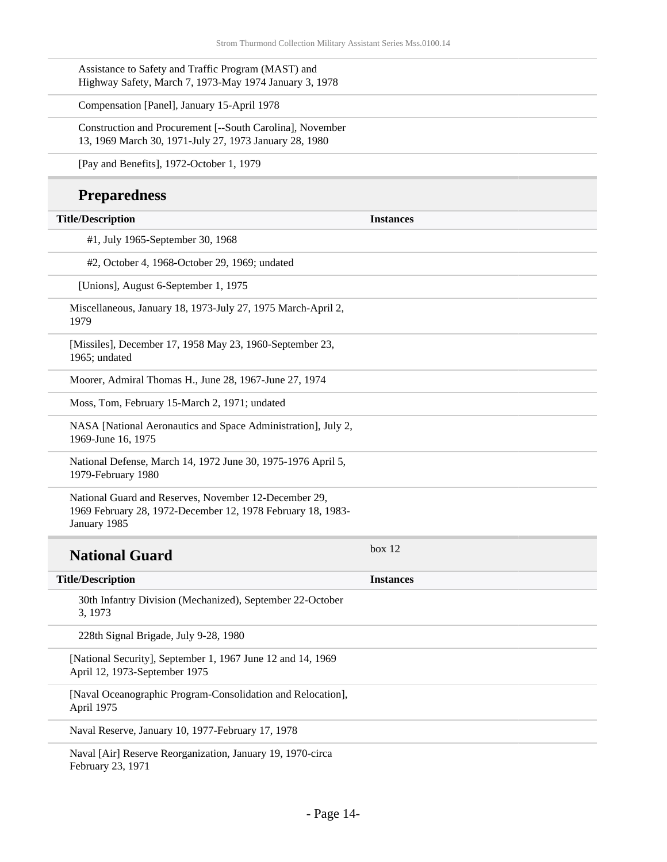Assistance to Safety and Traffic Program (MAST) and Highway Safety, March 7, 1973-May 1974 January 3, 1978

Compensation [Panel], January 15-April 1978

Construction and Procurement [--South Carolina], November 13, 1969 March 30, 1971-July 27, 1973 January 28, 1980

[Pay and Benefits], 1972-October 1, 1979

### **Preparedness**

| <b>Title/Description</b>                                                                                                             | <b>Instances</b> |
|--------------------------------------------------------------------------------------------------------------------------------------|------------------|
| #1, July 1965-September 30, 1968                                                                                                     |                  |
|                                                                                                                                      |                  |
| #2, October 4, 1968-October 29, 1969; undated                                                                                        |                  |
| [Unions], August 6-September 1, 1975                                                                                                 |                  |
| Miscellaneous, January 18, 1973-July 27, 1975 March-April 2,<br>1979                                                                 |                  |
| [Missiles], December 17, 1958 May 23, 1960-September 23,<br>1965; undated                                                            |                  |
| Moorer, Admiral Thomas H., June 28, 1967-June 27, 1974                                                                               |                  |
| Moss, Tom, February 15-March 2, 1971; undated                                                                                        |                  |
| NASA [National Aeronautics and Space Administration], July 2,<br>1969-June 16, 1975                                                  |                  |
| National Defense, March 14, 1972 June 30, 1975-1976 April 5,<br>1979-February 1980                                                   |                  |
| National Guard and Reserves, November 12-December 29,<br>1969 February 28, 1972-December 12, 1978 February 18, 1983-<br>January 1985 |                  |
| <b>National Guard</b>                                                                                                                | box 12           |
| <b>Title/Description</b>                                                                                                             | <b>Instances</b> |
| 30th Infantry Division (Mechanized), September 22-October<br>3, 1973                                                                 |                  |
| 228th Signal Brigade, July 9-28, 1980                                                                                                |                  |
| [National Security], September 1, 1967 June 12 and 14, 1969<br>April 12, 1973-September 1975                                         |                  |
| [Naval Oceanographic Program-Consolidation and Relocation],<br>April 1975                                                            |                  |
| Naval Reserve, January 10, 1977-February 17, 1978                                                                                    |                  |
| Naval [Air] Reserve Reorganization, January 19, 1970-circa<br>February 23, 1971                                                      |                  |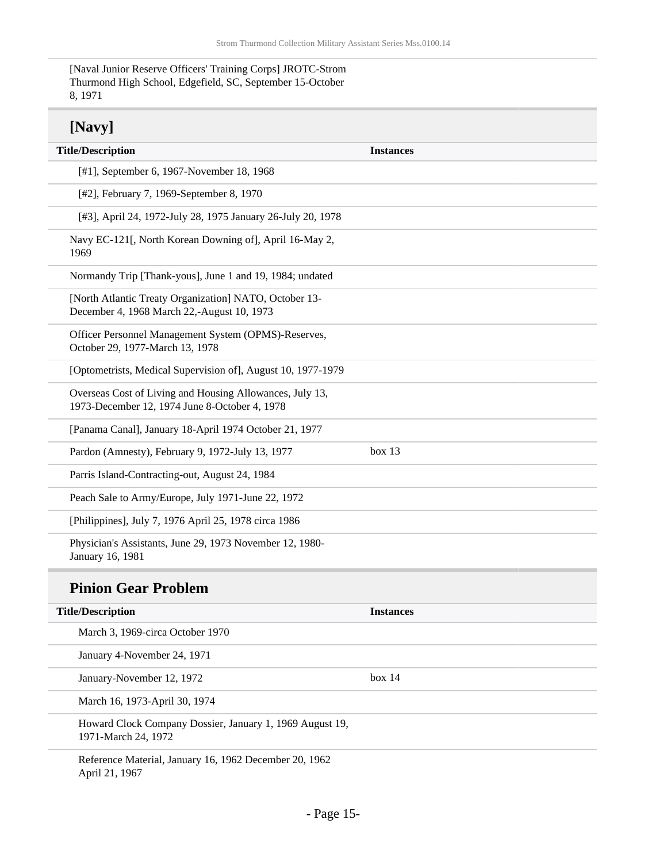[Naval Junior Reserve Officers' Training Corps] JROTC-Strom Thurmond High School, Edgefield, SC, September 15-October 8, 1971

## **[Navy]**

| <b>Title/Description</b>                                                                                  | <b>Instances</b> |
|-----------------------------------------------------------------------------------------------------------|------------------|
| [#1], September 6, 1967-November 18, 1968                                                                 |                  |
| [#2], February 7, 1969-September 8, 1970                                                                  |                  |
| [#3], April 24, 1972-July 28, 1975 January 26-July 20, 1978                                               |                  |
| Navy EC-121[, North Korean Downing of], April 16-May 2,<br>1969                                           |                  |
| Normandy Trip [Thank-yous], June 1 and 19, 1984; undated                                                  |                  |
| [North Atlantic Treaty Organization] NATO, October 13-<br>December 4, 1968 March 22,-August 10, 1973      |                  |
| Officer Personnel Management System (OPMS)-Reserves,<br>October 29, 1977-March 13, 1978                   |                  |
| [Optometrists, Medical Supervision of], August 10, 1977-1979                                              |                  |
| Overseas Cost of Living and Housing Allowances, July 13,<br>1973-December 12, 1974 June 8-October 4, 1978 |                  |
| [Panama Canal], January 18-April 1974 October 21, 1977                                                    |                  |
| Pardon (Amnesty), February 9, 1972-July 13, 1977                                                          | box $13$         |
| Parris Island-Contracting-out, August 24, 1984                                                            |                  |
| Peach Sale to Army/Europe, July 1971-June 22, 1972                                                        |                  |
| [Philippines], July 7, 1976 April 25, 1978 circa 1986                                                     |                  |
| Physician's Assistants, June 29, 1973 November 12, 1980-<br>January 16, 1981                              |                  |
| <b>Pinion Gear Problem</b>                                                                                |                  |
| <b>Title/Description</b>                                                                                  | <b>Instances</b> |
| March 3, 1969-circa October 1970                                                                          |                  |
| January 4-November 24, 1971                                                                               |                  |
| January-November 12, 1972                                                                                 | box 14           |
| March 16, 1973-April 30, 1974                                                                             |                  |

Howard Clock Company Dossier, January 1, 1969 August 19, 1971-March 24, 1972

Reference Material, January 16, 1962 December 20, 1962 April 21, 1967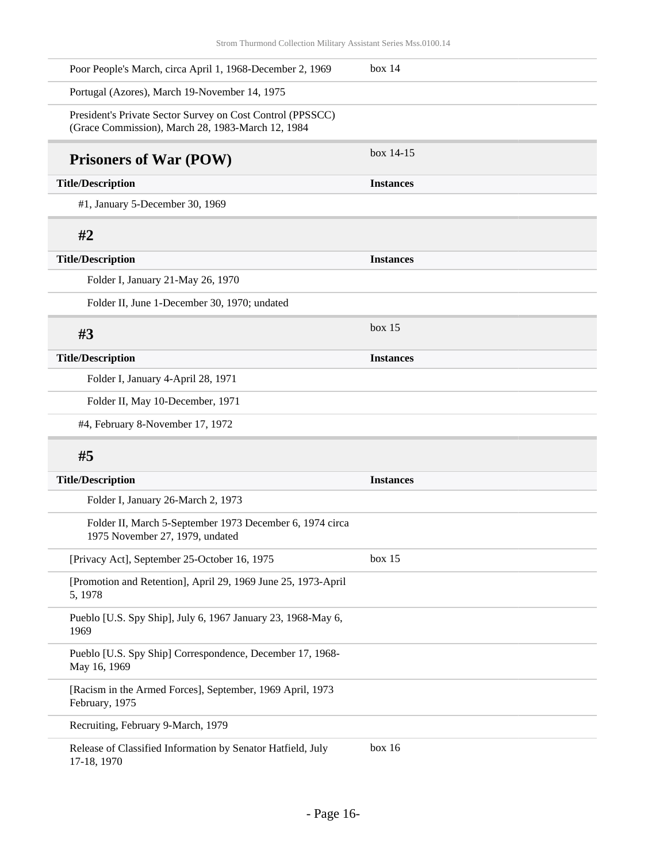| Poor People's March, circa April 1, 1968-December 2, 1969                                                       | box 14           |
|-----------------------------------------------------------------------------------------------------------------|------------------|
| Portugal (Azores), March 19-November 14, 1975                                                                   |                  |
| President's Private Sector Survey on Cost Control (PPSSCC)<br>(Grace Commission), March 28, 1983-March 12, 1984 |                  |
| <b>Prisoners of War (POW)</b>                                                                                   | box 14-15        |
| <b>Title/Description</b>                                                                                        | <b>Instances</b> |
| #1, January 5-December 30, 1969                                                                                 |                  |
| #2                                                                                                              |                  |
| <b>Title/Description</b>                                                                                        | <b>Instances</b> |
| Folder I, January 21-May 26, 1970                                                                               |                  |
| Folder II, June 1-December 30, 1970; undated                                                                    |                  |
| #3                                                                                                              | box 15           |
| <b>Title/Description</b>                                                                                        | <b>Instances</b> |
| Folder I, January 4-April 28, 1971                                                                              |                  |
| Folder II, May 10-December, 1971                                                                                |                  |
| #4, February 8-November 17, 1972                                                                                |                  |
| #5                                                                                                              |                  |
| <b>Title/Description</b>                                                                                        | <b>Instances</b> |
| Folder I, January 26-March 2, 1973                                                                              |                  |
| Folder II, March 5-September 1973 December 6, 1974 circa<br>1975 November 27, 1979, undated                     |                  |
| [Privacy Act], September 25-October 16, 1975                                                                    | box 15           |
| [Promotion and Retention], April 29, 1969 June 25, 1973-April<br>5, 1978                                        |                  |
| Pueblo [U.S. Spy Ship], July 6, 1967 January 23, 1968-May 6,<br>1969                                            |                  |
| Pueblo [U.S. Spy Ship] Correspondence, December 17, 1968-<br>May 16, 1969                                       |                  |
| [Racism in the Armed Forces], September, 1969 April, 1973<br>February, 1975                                     |                  |
| Recruiting, February 9-March, 1979                                                                              |                  |
| Release of Classified Information by Senator Hatfield, July<br>17-18, 1970                                      | box 16           |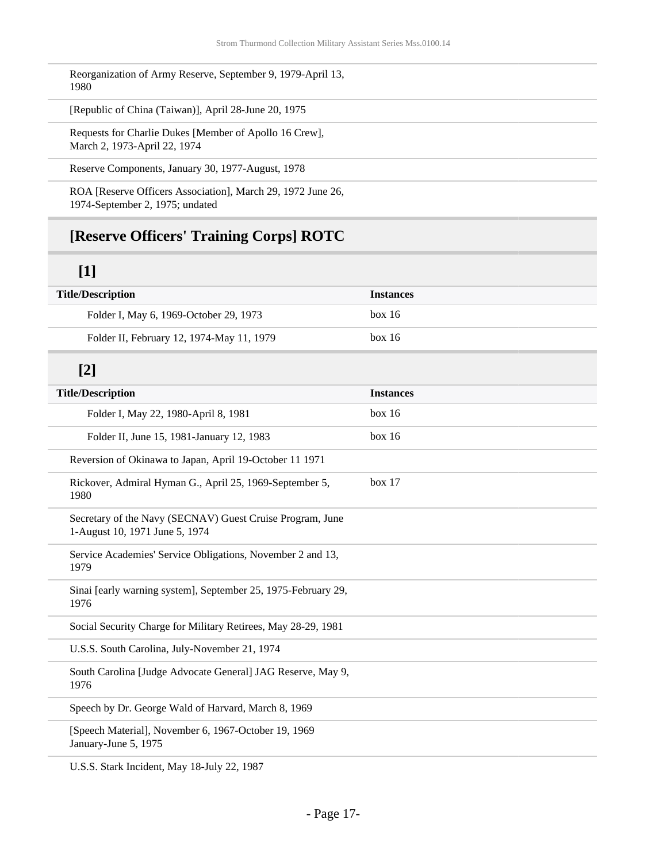Reorganization of Army Reserve, September 9, 1979-April 13, 1980

[Republic of China (Taiwan)], April 28-June 20, 1975

Requests for Charlie Dukes [Member of Apollo 16 Crew], March 2, 1973-April 22, 1974

Reserve Components, January 30, 1977-August, 1978

ROA [Reserve Officers Association], March 29, 1972 June 26, 1974-September 2, 1975; undated

### **[Reserve Officers' Training Corps] ROTC**

### **[1]**

| <b>Title/Description</b>                  | <b>Instances</b> |
|-------------------------------------------|------------------|
| Folder I, May 6, 1969-October 29, 1973    | box 16           |
| Folder II, February 12, 1974-May 11, 1979 | box 16           |
|                                           |                  |

## **[2]**

| <b>Title/Description</b>                                                                    | <b>Instances</b> |
|---------------------------------------------------------------------------------------------|------------------|
| Folder I, May 22, 1980-April 8, 1981                                                        | box 16           |
| Folder II, June 15, 1981-January 12, 1983                                                   | box 16           |
| Reversion of Okinawa to Japan, April 19-October 11 1971                                     |                  |
| Rickover, Admiral Hyman G., April 25, 1969-September 5,<br>1980                             | box 17           |
| Secretary of the Navy (SECNAV) Guest Cruise Program, June<br>1-August 10, 1971 June 5, 1974 |                  |
| Service Academies' Service Obligations, November 2 and 13,<br>1979                          |                  |
| Sinai [early warning system], September 25, 1975-February 29,<br>1976                       |                  |
| Social Security Charge for Military Retirees, May 28-29, 1981                               |                  |
| U.S.S. South Carolina, July-November 21, 1974                                               |                  |
| South Carolina [Judge Advocate General] JAG Reserve, May 9,<br>1976                         |                  |
| Speech by Dr. George Wald of Harvard, March 8, 1969                                         |                  |
| [Speech Material], November 6, 1967-October 19, 1969<br>January-June 5, 1975                |                  |
| U.S.S. Stark Incident, May 18-July 22, 1987                                                 |                  |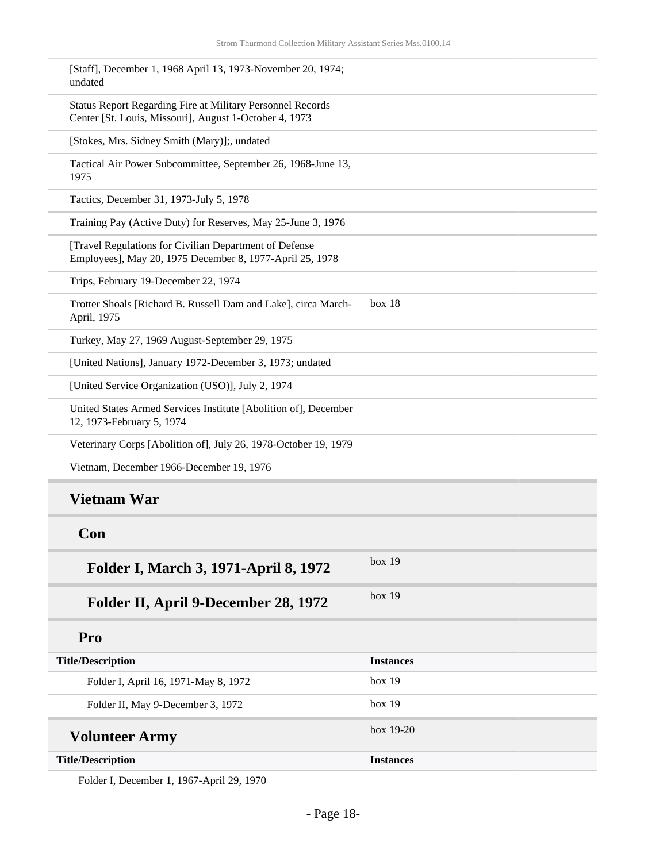| [Staff], December 1, 1968 April 13, 1973-November 20, 1974;<br>undated                                               |                  |
|----------------------------------------------------------------------------------------------------------------------|------------------|
| Status Report Regarding Fire at Military Personnel Records<br>Center [St. Louis, Missouri], August 1-October 4, 1973 |                  |
| [Stokes, Mrs. Sidney Smith (Mary)];, undated                                                                         |                  |
| Tactical Air Power Subcommittee, September 26, 1968-June 13,<br>1975                                                 |                  |
| Tactics, December 31, 1973-July 5, 1978                                                                              |                  |
| Training Pay (Active Duty) for Reserves, May 25-June 3, 1976                                                         |                  |
| [Travel Regulations for Civilian Department of Defense<br>Employees], May 20, 1975 December 8, 1977-April 25, 1978   |                  |
| Trips, February 19-December 22, 1974                                                                                 |                  |
| Trotter Shoals [Richard B. Russell Dam and Lake], circa March-<br>April, 1975                                        | box 18           |
| Turkey, May 27, 1969 August-September 29, 1975                                                                       |                  |
| [United Nations], January 1972-December 3, 1973; undated                                                             |                  |
| [United Service Organization (USO)], July 2, 1974                                                                    |                  |
| United States Armed Services Institute [Abolition of], December<br>12, 1973-February 5, 1974                         |                  |
| Veterinary Corps [Abolition of], July 26, 1978-October 19, 1979                                                      |                  |
| Vietnam, December 1966-December 19, 1976                                                                             |                  |
| <b>Vietnam War</b>                                                                                                   |                  |
| Con                                                                                                                  |                  |
| Folder I, March 3, 1971-April 8, 1972                                                                                | box 19           |
| Folder II, April 9-December 28, 1972                                                                                 | box 19           |
| Pro                                                                                                                  |                  |
| <b>Title/Description</b>                                                                                             | <b>Instances</b> |
| Folder I, April 16, 1971-May 8, 1972                                                                                 | box 19           |
| Folder II, May 9-December 3, 1972                                                                                    | box 19           |
| <b>Volunteer Army</b>                                                                                                | box 19-20        |
| <b>Title/Description</b>                                                                                             | <b>Instances</b> |

Folder I, December 1, 1967-April 29, 1970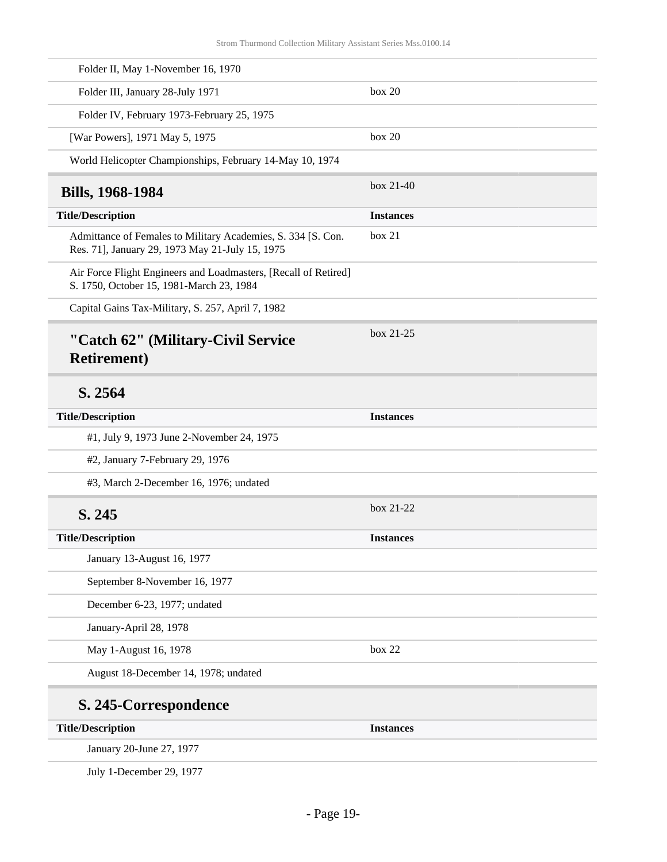<span id="page-18-0"></span>

| Folder II, May 1-November 16, 1970                                                                              |                  |
|-----------------------------------------------------------------------------------------------------------------|------------------|
| Folder III, January 28-July 1971                                                                                | box 20           |
| Folder IV, February 1973-February 25, 1975                                                                      |                  |
| [War Powers], 1971 May 5, 1975                                                                                  | box 20           |
| World Helicopter Championships, February 14-May 10, 1974                                                        |                  |
| <b>Bills, 1968-1984</b>                                                                                         | $box 21-40$      |
| <b>Title/Description</b>                                                                                        | <b>Instances</b> |
| Admittance of Females to Military Academies, S. 334 [S. Con.<br>Res. 71], January 29, 1973 May 21-July 15, 1975 | box 21           |
| Air Force Flight Engineers and Loadmasters, [Recall of Retired]<br>S. 1750, October 15, 1981-March 23, 1984     |                  |
| Capital Gains Tax-Military, S. 257, April 7, 1982                                                               |                  |
| "Catch 62" (Military-Civil Service<br><b>Retirement</b> )                                                       | box 21-25        |
| S. 2564                                                                                                         |                  |
| <b>Title/Description</b>                                                                                        | <b>Instances</b> |
| #1, July 9, 1973 June 2-November 24, 1975                                                                       |                  |
| #2, January 7-February 29, 1976                                                                                 |                  |
| #3, March 2-December 16, 1976; undated                                                                          |                  |
| S. 245                                                                                                          | box 21-22        |
| <b>Title/Description</b>                                                                                        | <b>Instances</b> |
| January 13-August 16, 1977                                                                                      |                  |
|                                                                                                                 |                  |
| September 8-November 16, 1977                                                                                   |                  |
| December 6-23, 1977; undated                                                                                    |                  |
| January-April 28, 1978                                                                                          |                  |
| May 1-August 16, 1978                                                                                           | box 22           |
| August 18-December 14, 1978; undated                                                                            |                  |
| S. 245-Correspondence                                                                                           |                  |
| <b>Title/Description</b>                                                                                        | <b>Instances</b> |

July 1-December 29, 1977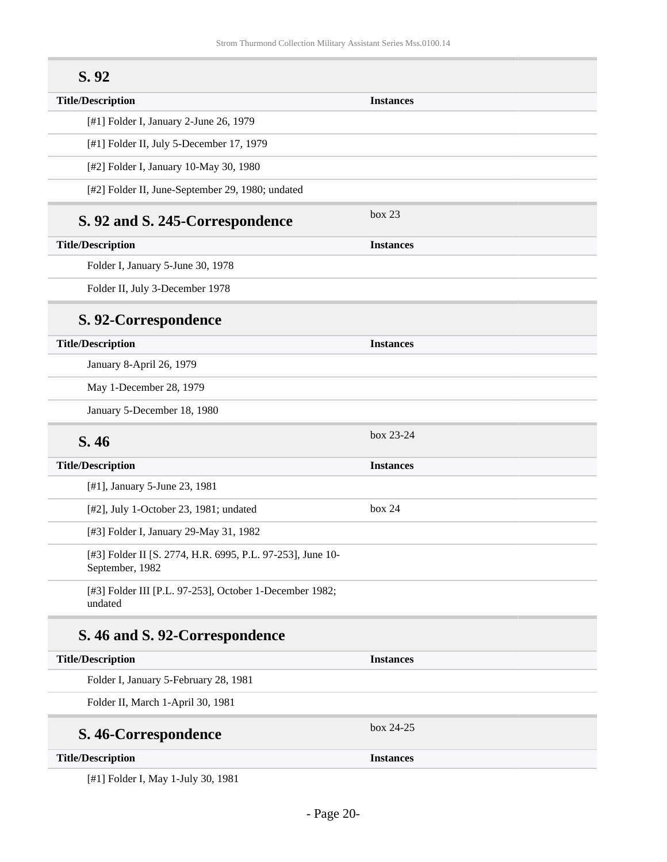| S.92                                                                          |                  |
|-------------------------------------------------------------------------------|------------------|
| <b>Title/Description</b>                                                      | <b>Instances</b> |
| [#1] Folder I, January 2-June 26, 1979                                        |                  |
| [#1] Folder II, July 5-December 17, 1979                                      |                  |
| [#2] Folder I, January 10-May 30, 1980                                        |                  |
| [#2] Folder II, June-September 29, 1980; undated                              |                  |
| S. 92 and S. 245-Correspondence                                               | box 23           |
| <b>Title/Description</b>                                                      | <b>Instances</b> |
| Folder I, January 5-June 30, 1978                                             |                  |
| Folder II, July 3-December 1978                                               |                  |
| S. 92-Correspondence                                                          |                  |
| <b>Title/Description</b>                                                      | <b>Instances</b> |
| January 8-April 26, 1979                                                      |                  |
| May 1-December 28, 1979                                                       |                  |
| January 5-December 18, 1980                                                   |                  |
| S. 46                                                                         | box 23-24        |
| <b>Title/Description</b>                                                      | <b>Instances</b> |
| [#1], January 5-June 23, 1981                                                 |                  |
| [#2], July 1-October 23, 1981; undated                                        | box 24           |
| [#3] Folder I, January 29-May 31, 1982                                        |                  |
| [#3] Folder II [S. 2774, H.R. 6995, P.L. 97-253], June 10-<br>September, 1982 |                  |
| [#3] Folder III [P.L. 97-253], October 1-December 1982;<br>undated            |                  |
| S. 46 and S. 92-Correspondence                                                |                  |
| <b>Title/Description</b>                                                      | <b>Instances</b> |
| Folder I, January 5-February 28, 1981                                         |                  |
| Folder II, March 1-April 30, 1981                                             |                  |
| S. 46-Correspondence                                                          | box 24-25        |
| <b>Title/Description</b>                                                      | <b>Instances</b> |

[#1] Folder I, May 1-July 30, 1981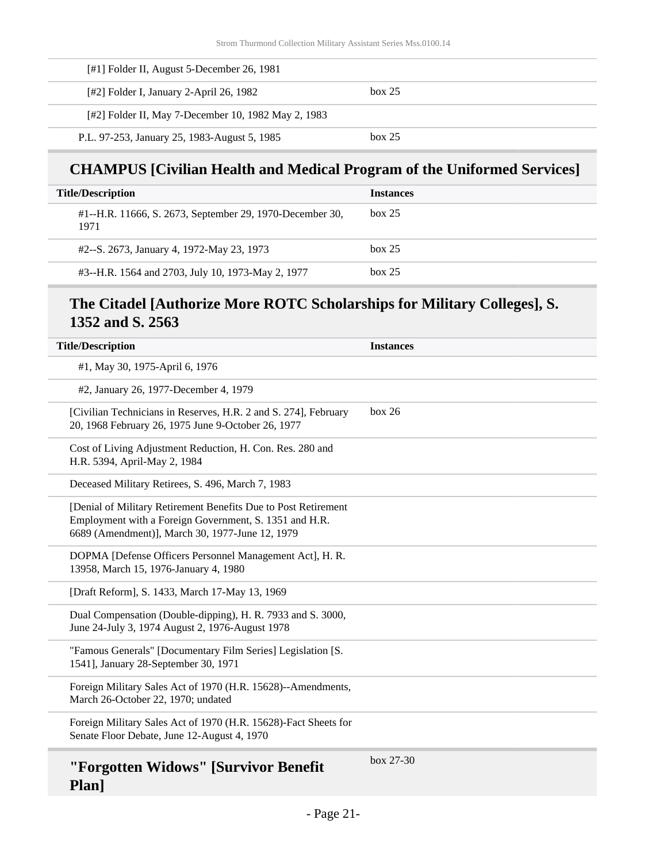| [#1] Folder II, August 5-December 26, 1981          |        |  |
|-----------------------------------------------------|--------|--|
| [#2] Folder I, January 2-April 26, 1982             | box 25 |  |
| [#2] Folder II, May 7-December 10, 1982 May 2, 1983 |        |  |
| P.L. 97-253, January 25, 1983-August 5, 1985        | box 25 |  |

### **CHAMPUS [Civilian Health and Medical Program of the Uniformed Services]**

| <b>Title/Description</b>                                         | <b>Instances</b> |
|------------------------------------------------------------------|------------------|
| #1--H.R. 11666, S. 2673, September 29, 1970-December 30,<br>1971 | box 25           |
| #2--S. 2673, January 4, 1972-May 23, 1973                        | box 25           |
| #3--H.R. 1564 and 2703, July 10, 1973-May 2, 1977                | box 25           |

### **The Citadel [Authorize More ROTC Scholarships for Military Colleges], S. 1352 and S. 2563**

| <b>Title/Description</b>                                                                                                                                                    | <b>Instances</b> |
|-----------------------------------------------------------------------------------------------------------------------------------------------------------------------------|------------------|
| #1, May 30, 1975-April 6, 1976                                                                                                                                              |                  |
| #2, January 26, 1977-December 4, 1979                                                                                                                                       |                  |
| [Civilian Technicians in Reserves, H.R. 2 and S. 274], February<br>20, 1968 February 26, 1975 June 9-October 26, 1977                                                       | box 26           |
| Cost of Living Adjustment Reduction, H. Con. Res. 280 and<br>H.R. 5394, April-May 2, 1984                                                                                   |                  |
| Deceased Military Retirees, S. 496, March 7, 1983                                                                                                                           |                  |
| [Denial of Military Retirement Benefits Due to Post Retirement<br>Employment with a Foreign Government, S. 1351 and H.R.<br>6689 (Amendment)], March 30, 1977-June 12, 1979 |                  |
| DOPMA [Defense Officers Personnel Management Act], H. R.<br>13958, March 15, 1976-January 4, 1980                                                                           |                  |
| [Draft Reform], S. 1433, March 17-May 13, 1969                                                                                                                              |                  |
| Dual Compensation (Double-dipping), H. R. 7933 and S. 3000,<br>June 24-July 3, 1974 August 2, 1976-August 1978                                                              |                  |
| "Famous Generals" [Documentary Film Series] Legislation [S.<br>1541], January 28-September 30, 1971                                                                         |                  |
| Foreign Military Sales Act of 1970 (H.R. 15628)--Amendments,<br>March 26-October 22, 1970; undated                                                                          |                  |
| Foreign Military Sales Act of 1970 (H.R. 15628)-Fact Sheets for<br>Senate Floor Debate, June 12-August 4, 1970                                                              |                  |
| "Forgotten Widows" [Survivor Benefit                                                                                                                                        | box $27-30$      |

**Plan]**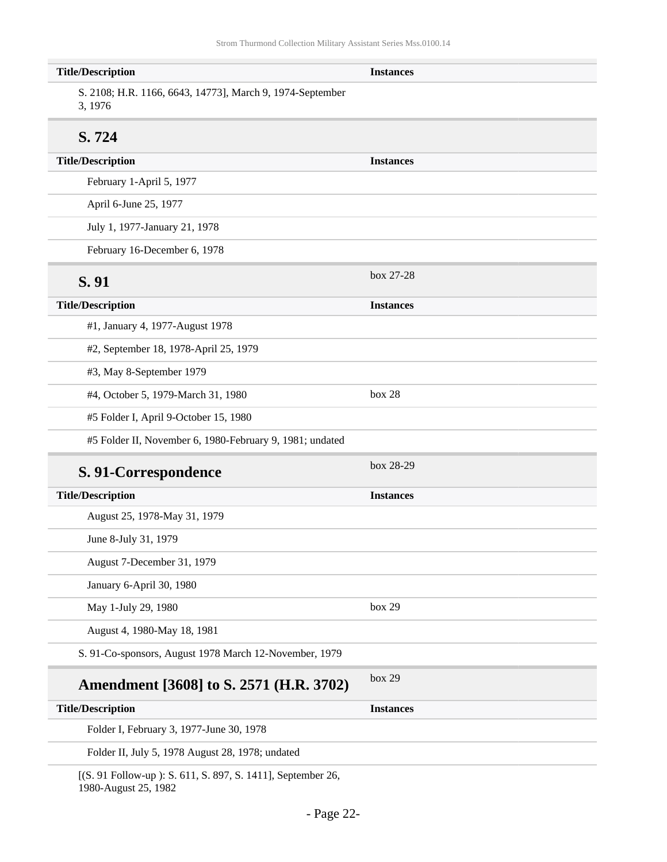| <b>Title/Description</b>                                                            | <b>Instances</b> |
|-------------------------------------------------------------------------------------|------------------|
| S. 2108; H.R. 1166, 6643, 14773], March 9, 1974-September<br>3, 1976                |                  |
| S. 724                                                                              |                  |
| <b>Title/Description</b>                                                            | <b>Instances</b> |
| February 1-April 5, 1977                                                            |                  |
| April 6-June 25, 1977                                                               |                  |
| July 1, 1977-January 21, 1978                                                       |                  |
| February 16-December 6, 1978                                                        |                  |
| S. 91                                                                               | box 27-28        |
| <b>Title/Description</b>                                                            | <b>Instances</b> |
| #1, January 4, 1977-August 1978                                                     |                  |
| #2, September 18, 1978-April 25, 1979                                               |                  |
| #3, May 8-September 1979                                                            |                  |
| #4, October 5, 1979-March 31, 1980                                                  | box 28           |
| #5 Folder I, April 9-October 15, 1980                                               |                  |
| #5 Folder II, November 6, 1980-February 9, 1981; undated                            |                  |
| S. 91-Correspondence                                                                | box 28-29        |
| <b>Title/Description</b>                                                            | <b>Instances</b> |
| August 25, 1978-May 31, 1979                                                        |                  |
| June 8-July 31, 1979                                                                |                  |
| August 7-December 31, 1979                                                          |                  |
| January 6-April 30, 1980                                                            |                  |
| May 1-July 29, 1980                                                                 | box 29           |
| August 4, 1980-May 18, 1981                                                         |                  |
| S. 91-Co-sponsors, August 1978 March 12-November, 1979                              |                  |
| Amendment [3608] to S. 2571 (H.R. 3702)                                             | box 29           |
| <b>Title/Description</b>                                                            | <b>Instances</b> |
| Folder I, February 3, 1977-June 30, 1978                                            |                  |
| Folder II, July 5, 1978 August 28, 1978; undated                                    |                  |
| [(S. 91 Follow-up): S. 611, S. 897, S. 1411], September 26,<br>1980-August 25, 1982 |                  |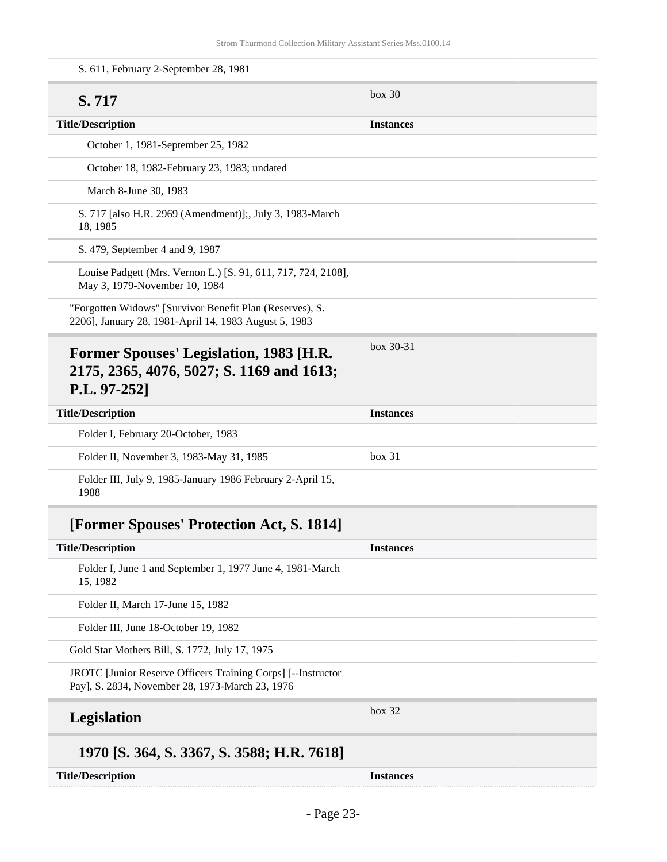| S. 611, February 2-September 28, 1981                                                                             |                  |
|-------------------------------------------------------------------------------------------------------------------|------------------|
| S. 717                                                                                                            | box 30           |
| <b>Title/Description</b>                                                                                          | <b>Instances</b> |
| October 1, 1981-September 25, 1982                                                                                |                  |
| October 18, 1982-February 23, 1983; undated                                                                       |                  |
| March 8-June 30, 1983                                                                                             |                  |
| S. 717 [also H.R. 2969 (Amendment)];, July 3, 1983-March<br>18, 1985                                              |                  |
| S. 479, September 4 and 9, 1987                                                                                   |                  |
| Louise Padgett (Mrs. Vernon L.) [S. 91, 611, 717, 724, 2108],<br>May 3, 1979-November 10, 1984                    |                  |
| "Forgotten Widows" [Survivor Benefit Plan (Reserves), S.<br>2206], January 28, 1981-April 14, 1983 August 5, 1983 |                  |
| Former Spouses' Legislation, 1983 [H.R.<br>2175, 2365, 4076, 5027; S. 1169 and 1613;<br>P.L. 97-252]              | box 30-31        |
| <b>Title/Description</b>                                                                                          | <b>Instances</b> |
| Folder I, February 20-October, 1983                                                                               |                  |
| Folder II, November 3, 1983-May 31, 1985                                                                          | box 31           |
| Folder III, July 9, 1985-January 1986 February 2-April 15,<br>1988                                                |                  |
| [Former Spouses' Protection Act, S. 1814]                                                                         |                  |
| <b>Title/Description</b>                                                                                          | <b>Instances</b> |
| Folder I, June 1 and September 1, 1977 June 4, 1981-March<br>15, 1982                                             |                  |
| Folder II, March 17-June 15, 1982                                                                                 |                  |
| Folder III, June 18-October 19, 1982                                                                              |                  |
| Gold Star Mothers Bill, S. 1772, July 17, 1975                                                                    |                  |
| JROTC [Junior Reserve Officers Training Corps] [--Instructor<br>Pay], S. 2834, November 28, 1973-March 23, 1976   |                  |
| <b>Legislation</b>                                                                                                | box 32           |
| 1970 [S. 364, S. 3367, S. 3588; H.R. 7618]                                                                        |                  |
| <b>Title/Description</b>                                                                                          | <b>Instances</b> |
|                                                                                                                   |                  |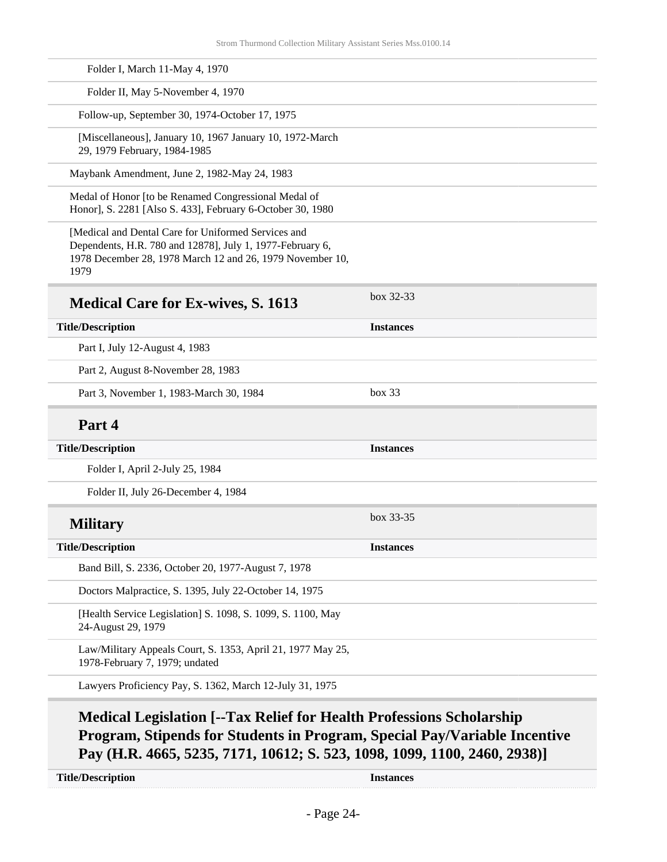| Folder I, March 11-May 4, 1970                                                                                                                                                        |                  |
|---------------------------------------------------------------------------------------------------------------------------------------------------------------------------------------|------------------|
| Folder II, May 5-November 4, 1970                                                                                                                                                     |                  |
| Follow-up, September 30, 1974-October 17, 1975                                                                                                                                        |                  |
| [Miscellaneous], January 10, 1967 January 10, 1972-March<br>29, 1979 February, 1984-1985                                                                                              |                  |
| Maybank Amendment, June 2, 1982-May 24, 1983                                                                                                                                          |                  |
| Medal of Honor [to be Renamed Congressional Medal of<br>Honor], S. 2281 [Also S. 433], February 6-October 30, 1980                                                                    |                  |
| [Medical and Dental Care for Uniformed Services and<br>Dependents, H.R. 780 and 12878], July 1, 1977-February 6,<br>1978 December 28, 1978 March 12 and 26, 1979 November 10,<br>1979 |                  |
| <b>Medical Care for Ex-wives, S. 1613</b>                                                                                                                                             | box $32-33$      |
| <b>Title/Description</b>                                                                                                                                                              | <b>Instances</b> |
| Part I, July 12-August 4, 1983                                                                                                                                                        |                  |
| Part 2, August 8-November 28, 1983                                                                                                                                                    |                  |
| Part 3, November 1, 1983-March 30, 1984                                                                                                                                               | box 33           |
| Part 4                                                                                                                                                                                |                  |
| <b>Title/Description</b>                                                                                                                                                              | <b>Instances</b> |
| Folder I, April 2-July 25, 1984                                                                                                                                                       |                  |
| Folder II, July 26-December 4, 1984                                                                                                                                                   |                  |
| <b>Military</b>                                                                                                                                                                       | box 33-35        |
| <b>Title/Description</b>                                                                                                                                                              | <b>Instances</b> |
| Band Bill, S. 2336, October 20, 1977-August 7, 1978                                                                                                                                   |                  |
| Doctors Malpractice, S. 1395, July 22-October 14, 1975                                                                                                                                |                  |
| [Health Service Legislation] S. 1098, S. 1099, S. 1100, May<br>24-August 29, 1979                                                                                                     |                  |
| Law/Military Appeals Court, S. 1353, April 21, 1977 May 25,<br>1978-February 7, 1979; undated                                                                                         |                  |
| Lawyers Proficiency Pay, S. 1362, March 12-July 31, 1975                                                                                                                              |                  |

### **Medical Legislation [--Tax Relief for Health Professions Scholarship Program, Stipends for Students in Program, Special Pay/Variable Incentive Pay (H.R. 4665, 5235, 7171, 10612; S. 523, 1098, 1099, 1100, 2460, 2938)]**

**Title/Description Instances**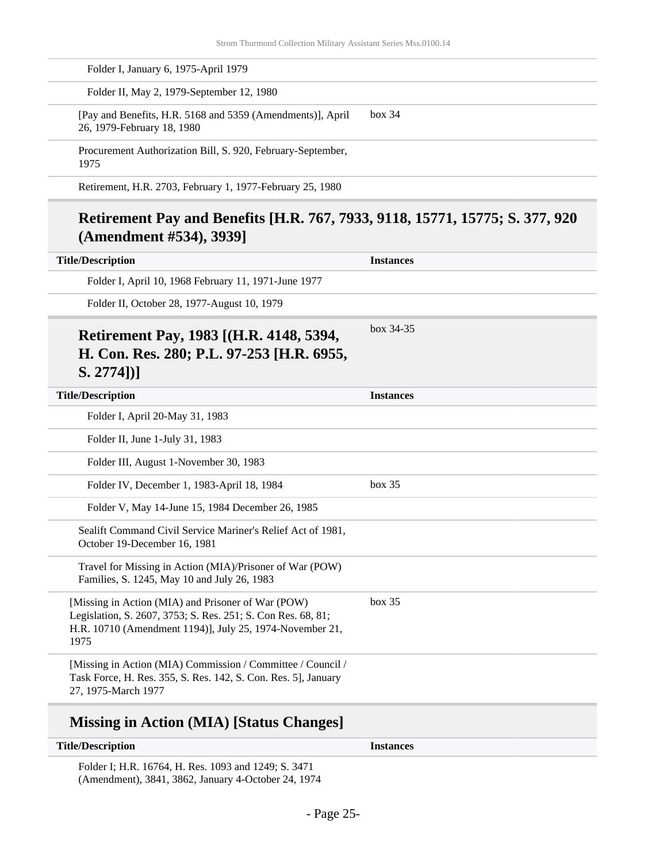| Folder I, January 6, 1975-April 1979                                                                                                                                                   |                  |
|----------------------------------------------------------------------------------------------------------------------------------------------------------------------------------------|------------------|
| Folder II, May 2, 1979-September 12, 1980                                                                                                                                              |                  |
| [Pay and Benefits, H.R. 5168 and 5359 (Amendments)], April<br>26, 1979-February 18, 1980                                                                                               | box~34           |
| Procurement Authorization Bill, S. 920, February-September,<br>1975                                                                                                                    |                  |
| Retirement, H.R. 2703, February 1, 1977-February 25, 1980                                                                                                                              |                  |
| Retirement Pay and Benefits [H.R. 767, 7933, 9118, 15771, 15775; S. 377, 920<br>(Amendment #534), 3939]                                                                                |                  |
| <b>Title/Description</b>                                                                                                                                                               | <b>Instances</b> |
| Folder I, April 10, 1968 February 11, 1971-June 1977                                                                                                                                   |                  |
| Folder II, October 28, 1977-August 10, 1979                                                                                                                                            |                  |
| $S. 2774$ ]<br><b>Title/Description</b>                                                                                                                                                | <b>Instances</b> |
| Folder I, April 20-May 31, 1983                                                                                                                                                        |                  |
| Folder II, June 1-July 31, 1983                                                                                                                                                        |                  |
| Folder III, August 1-November 30, 1983                                                                                                                                                 |                  |
| Folder IV, December 1, 1983-April 18, 1984                                                                                                                                             | box 35           |
| Folder V, May 14-June 15, 1984 December 26, 1985                                                                                                                                       |                  |
|                                                                                                                                                                                        |                  |
| Sealift Command Civil Service Mariner's Relief Act of 1981,<br>October 19-December 16, 1981                                                                                            |                  |
| Travel for Missing in Action (MIA)/Prisoner of War (POW)<br>Families, S. 1245, May 10 and July 26, 1983                                                                                |                  |
| [Missing in Action (MIA) and Prisoner of War (POW)<br>Legislation, S. 2607, 3753; S. Res. 251; S. Con Res. 68, 81;<br>H.R. 10710 (Amendment 1194)], July 25, 1974-November 21,<br>1975 | box 35           |

## **Missing in Action (MIA) [Status Changes]**

| <b>Title/Description</b>                             | <b>Instances</b> |
|------------------------------------------------------|------------------|
| Folder I; H.R. 16764, H. Res. 1093 and 1249; S. 3471 |                  |

(Amendment), 3841, 3862, January 4-October 24, 1974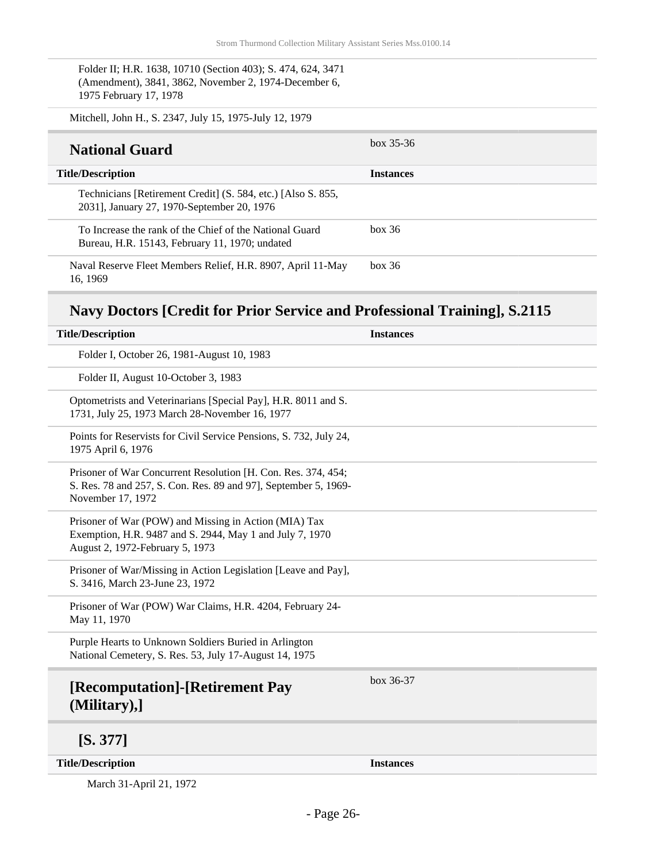Folder II; H.R. 1638, 10710 (Section 403); S. 474, 624, 3471 (Amendment), 3841, 3862, November 2, 1974-December 6, 1975 February 17, 1978

| Mitchell, John H., S. 2347, July 15, 1975-July 12, 1979                                                    |                  |
|------------------------------------------------------------------------------------------------------------|------------------|
| <b>National Guard</b>                                                                                      | $box 35-36$      |
| <b>Title/Description</b>                                                                                   | <b>Instances</b> |
| Technicians [Retirement Credit] (S. 584, etc.) [Also S. 855,<br>2031], January 27, 1970-September 20, 1976 |                  |
| To Increase the rank of the Chief of the National Guard<br>Bureau, H.R. 15143, February 11, 1970; undated  | box 36           |
| Naval Reserve Fleet Members Relief, H.R. 8907, April 11-May<br>16.1969                                     | box~36           |

## **Navy Doctors [Credit for Prior Service and Professional Training], S.2115**

| <b>Title/Description</b>                                                                                                                              | <b>Instances</b> |
|-------------------------------------------------------------------------------------------------------------------------------------------------------|------------------|
| Folder I, October 26, 1981-August 10, 1983                                                                                                            |                  |
| Folder II, August 10-October 3, 1983                                                                                                                  |                  |
| Optometrists and Veterinarians [Special Pay], H.R. 8011 and S.<br>1731, July 25, 1973 March 28-November 16, 1977                                      |                  |
| Points for Reservists for Civil Service Pensions, S. 732, July 24,<br>1975 April 6, 1976                                                              |                  |
| Prisoner of War Concurrent Resolution [H. Con. Res. 374, 454;<br>S. Res. 78 and 257, S. Con. Res. 89 and 97], September 5, 1969-<br>November 17, 1972 |                  |
| Prisoner of War (POW) and Missing in Action (MIA) Tax<br>Exemption, H.R. 9487 and S. 2944, May 1 and July 7, 1970<br>August 2, 1972-February 5, 1973  |                  |
| Prisoner of War/Missing in Action Legislation [Leave and Pay],<br>S. 3416, March 23-June 23, 1972                                                     |                  |
| Prisoner of War (POW) War Claims, H.R. 4204, February 24-<br>May 11, 1970                                                                             |                  |
| Purple Hearts to Unknown Soldiers Buried in Arlington<br>National Cemetery, S. Res. 53, July 17-August 14, 1975                                       |                  |
| [Recomputation]-[Retirement Pay<br>(Military),]                                                                                                       | box $36-37$      |
| [S. 377]                                                                                                                                              |                  |
| <b>Title/Description</b>                                                                                                                              | <b>Instances</b> |

March 31-April 21, 1972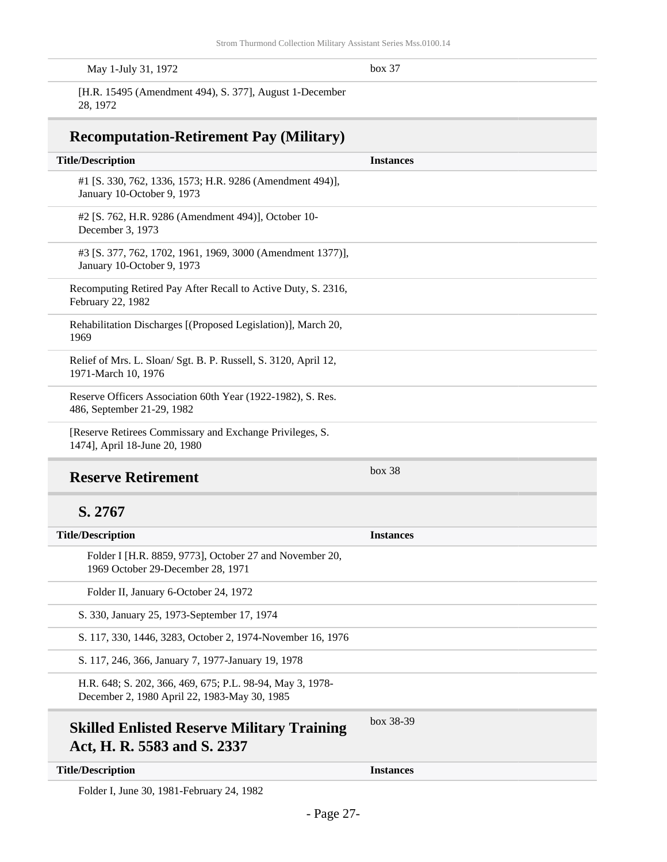| $\sim$<br>May 1-July 31, 1972<br>$box\;37$ |  |
|--------------------------------------------|--|
|--------------------------------------------|--|

[H.R. 15495 (Amendment 494), S. 377], August 1-December 28, 1972

#### **Recomputation-Retirement Pay (Military)**

| <b>Title/Description</b>                                                                     | <b>Instances</b> |
|----------------------------------------------------------------------------------------------|------------------|
| #1 [S. 330, 762, 1336, 1573; H.R. 9286 (Amendment 494)],<br>January 10-October 9, 1973       |                  |
| #2 [S. 762, H.R. 9286 (Amendment 494)], October 10-<br>December 3, 1973                      |                  |
| #3 [S. 377, 762, 1702, 1961, 1969, 3000 (Amendment 1377)],<br>January 10-October 9, 1973     |                  |
| Recomputing Retired Pay After Recall to Active Duty, S. 2316,<br>February 22, 1982           |                  |
| Rehabilitation Discharges [(Proposed Legislation)], March 20,<br>1969                        |                  |
| Relief of Mrs. L. Sloan/ Sgt. B. P. Russell, S. 3120, April 12,<br>1971-March 10, 1976       |                  |
| Reserve Officers Association 60th Year (1922-1982), S. Res.<br>486, September 21-29, 1982    |                  |
| [Reserve Retirees Commissary and Exchange Privileges, S.<br>1474], April 18-June 20, 1980    |                  |
| <b>Reserve Retirement</b>                                                                    | box~38           |
| S. 2767                                                                                      |                  |
| <b>Title/Description</b>                                                                     | <b>Instances</b> |
| Folder I [H.R. 8859, 9773], October 27 and November 20,<br>1969 October 29-December 28, 1971 |                  |
| Folder II, January 6-October 24, 1972                                                        |                  |
| S. 330, January 25, 1973-September 17, 1974                                                  |                  |
| S. 117, 330, 1446, 3283, October 2, 1974-November 16, 1976                                   |                  |
| S. 117, 246, 366, January 7, 1977-January 19, 1978                                           |                  |

H.R. 648; S. 202, 366, 469, 675; P.L. 98-94, May 3, 1978- December 2, 1980 April 22, 1983-May 30, 1985

### **Skilled Enlisted Reserve Military Training Act, H. R. 5583 and S. 2337**

box 38-39

**Title/Description Instances**

Folder I, June 30, 1981-February 24, 1982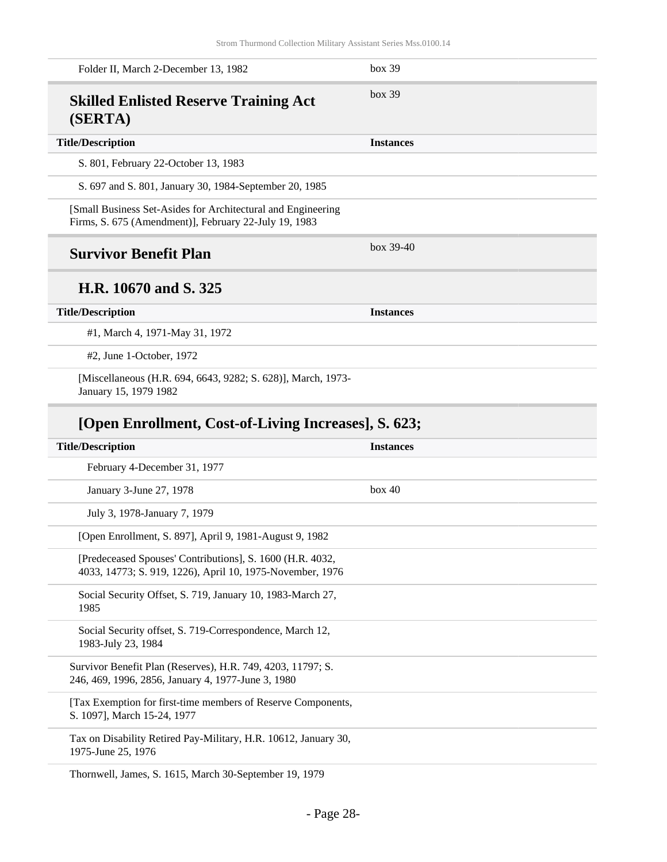| Folder II, March 2-December 13, 1982                                                                                   | box 39           |
|------------------------------------------------------------------------------------------------------------------------|------------------|
| <b>Skilled Enlisted Reserve Training Act</b><br>(SERTA)                                                                | box~39           |
| <b>Title/Description</b>                                                                                               | <b>Instances</b> |
| S. 801, February 22-October 13, 1983                                                                                   |                  |
| S. 697 and S. 801, January 30, 1984-September 20, 1985                                                                 |                  |
| [Small Business Set-Asides for Architectural and Engineering<br>Firms, S. 675 (Amendment)], February 22-July 19, 1983  |                  |
| <b>Survivor Benefit Plan</b>                                                                                           | box $39-40$      |
| H.R. 10670 and S. 325                                                                                                  |                  |
| <b>Title/Description</b>                                                                                               | <b>Instances</b> |
| #1, March 4, 1971-May 31, 1972                                                                                         |                  |
| #2, June 1-October, 1972                                                                                               |                  |
| [Miscellaneous (H.R. 694, 6643, 9282; S. 628)], March, 1973-<br>January 15, 1979 1982                                  |                  |
|                                                                                                                        |                  |
| [Open Enrollment, Cost-of-Living Increases], S. 623;                                                                   |                  |
| <b>Title/Description</b>                                                                                               | <b>Instances</b> |
| February 4-December 31, 1977                                                                                           |                  |
| January 3-June 27, 1978                                                                                                | box 40           |
| July 3, 1978-January 7, 1979                                                                                           |                  |
| [Open Enrollment, S. 897], April 9, 1981-August 9, 1982                                                                |                  |
| [Predeceased Spouses' Contributions], S. 1600 (H.R. 4032,<br>4033, 14773; S. 919, 1226), April 10, 1975-November, 1976 |                  |
| Social Security Offset, S. 719, January 10, 1983-March 27,<br>1985                                                     |                  |
| Social Security offset, S. 719-Correspondence, March 12,<br>1983-July 23, 1984                                         |                  |
| Survivor Benefit Plan (Reserves), H.R. 749, 4203, 11797; S.<br>246, 469, 1996, 2856, January 4, 1977-June 3, 1980      |                  |
| [Tax Exemption for first-time members of Reserve Components,<br>S. 1097], March 15-24, 1977                            |                  |

Thornwell, James, S. 1615, March 30-September 19, 1979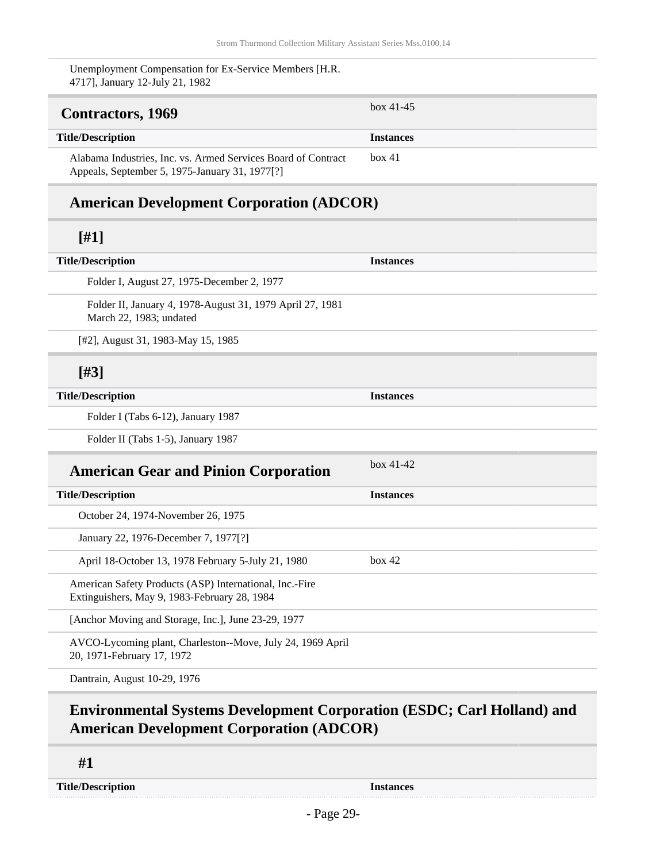box 41

Unemployment Compensation for Ex-Service Members [H.R. 4717], January 12-July 21, 1982

## <span id="page-28-0"></span>**Contractors, 1969** box 41-45

#### **Title/Description Instances**

Alabama Industries, Inc. vs. Armed Services Board of Contract Appeals, September 5, 1975-January 31, 1977[?]

#### **American Development Corporation (ADCOR)**

#### **[#1]**

| <b>Title/Description</b>                                                                                | <b>Instances</b> |
|---------------------------------------------------------------------------------------------------------|------------------|
| Folder I, August 27, 1975-December 2, 1977                                                              |                  |
| Folder II, January 4, 1978-August 31, 1979 April 27, 1981<br>March 22, 1983; undated                    |                  |
| [#2], August 31, 1983-May 15, 1985                                                                      |                  |
| [#3]                                                                                                    |                  |
| <b>Title/Description</b>                                                                                | <b>Instances</b> |
| Folder I (Tabs 6-12), January 1987                                                                      |                  |
| Folder II (Tabs 1-5), January 1987                                                                      |                  |
| <b>American Gear and Pinion Corporation</b>                                                             | $box 41-42$      |
| <b>Title/Description</b>                                                                                | <b>Instances</b> |
| October 24, 1974-November 26, 1975                                                                      |                  |
| January 22, 1976-December 7, 1977[?]                                                                    |                  |
| April 18-October 13, 1978 February 5-July 21, 1980                                                      | box 42           |
| American Safety Products (ASP) International, Inc.-Fire<br>Extinguishers, May 9, 1983-February 28, 1984 |                  |
| [Anchor Moving and Storage, Inc.], June 23-29, 1977                                                     |                  |
| AVCO-Lycoming plant, Charleston--Move, July 24, 1969 April<br>20, 1971-February 17, 1972                |                  |
| Dantrain, August 10-29, 1976                                                                            |                  |

### **Environmental Systems Development Corporation (ESDC; Carl Holland) and American Development Corporation (ADCOR)**

**#1**

**Title/Description Instances**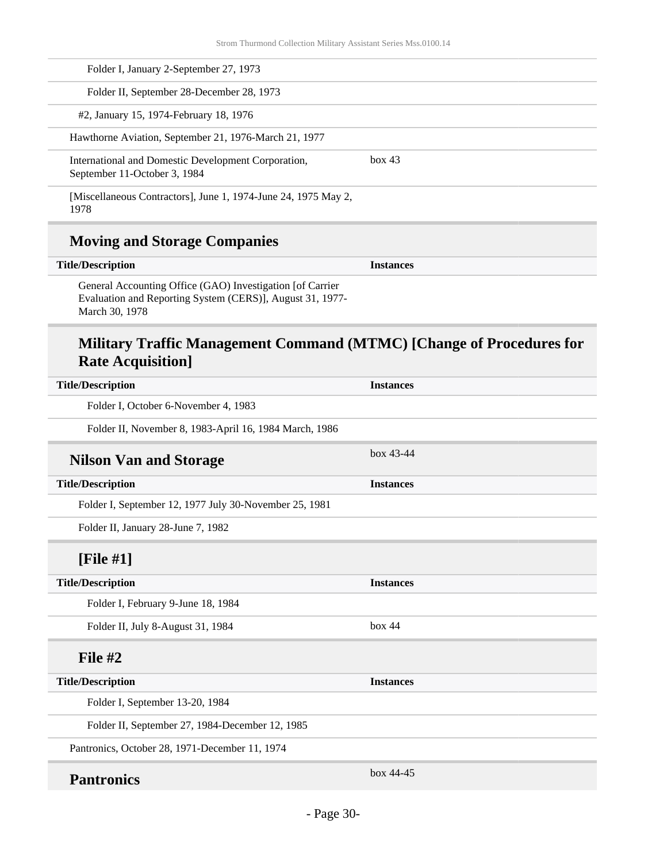| Folder I, January 2-September 27, 1973                                              |        |  |
|-------------------------------------------------------------------------------------|--------|--|
| Folder II, September 28-December 28, 1973                                           |        |  |
| #2, January 15, 1974-February 18, 1976                                              |        |  |
| Hawthorne Aviation, September 21, 1976-March 21, 1977                               |        |  |
| International and Domestic Development Corporation,<br>September 11-October 3, 1984 | box 43 |  |
| [Miscellaneous Contractors], June 1, 1974-June 24, 1975 May 2,<br>1978              |        |  |

### **Moving and Storage Companies**

| <b>Title/Description</b> |  |  |
|--------------------------|--|--|
|--------------------------|--|--|

General Accounting Office (GAO) Investigation [of Carrier Evaluation and Reporting System (CERS)], August 31, 1977- March 30, 1978

### **Military Traffic Management Command (MTMC) [Change of Procedures for Rate Acquisition]**

**Instances** 

| <b>Title/Description</b>                               | <b>Instances</b> |
|--------------------------------------------------------|------------------|
| Folder I, October 6-November 4, 1983                   |                  |
| Folder II, November 8, 1983-April 16, 1984 March, 1986 |                  |
| <b>Nilson Van and Storage</b>                          | $box 43-44$      |
| <b>Title/Description</b>                               | <b>Instances</b> |
| Folder I, September 12, 1977 July 30-November 25, 1981 |                  |
| Folder II, January 28-June 7, 1982                     |                  |
| [File $#1$ ]                                           |                  |
| <b>Title/Description</b>                               | <b>Instances</b> |
| Folder I, February 9-June 18, 1984                     |                  |
| Folder II, July 8-August 31, 1984                      | box 44           |
| File $#2$                                              |                  |
| <b>Title/Description</b>                               | <b>Instances</b> |
| Folder I, September 13-20, 1984                        |                  |
| Folder II, September 27, 1984-December 12, 1985        |                  |
| Pantronics, October 28, 1971-December 11, 1974         |                  |
| <b>Pantronics</b>                                      | $box 44-45$      |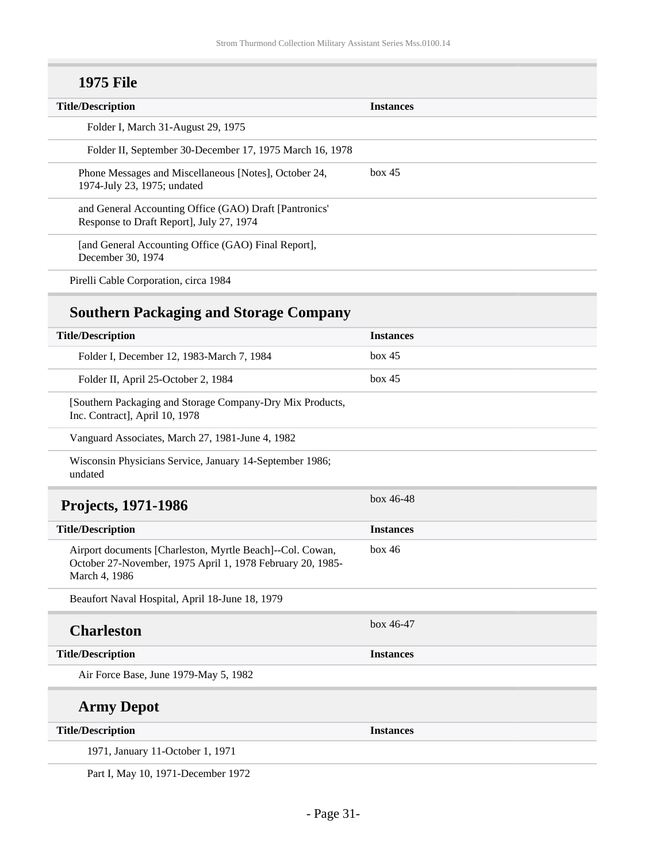## **1975 File**

| box 45 |
|--------|

## **Southern Packaging and Storage Company**

<span id="page-30-0"></span>

| <b>Title/Description</b>                                                                                                                 | <b>Instances</b> |
|------------------------------------------------------------------------------------------------------------------------------------------|------------------|
| Folder I, December 12, 1983-March 7, 1984                                                                                                | box 45           |
| Folder II, April 25-October 2, 1984                                                                                                      | box 45           |
| [Southern Packaging and Storage Company-Dry Mix Products,<br>Inc. Contract], April 10, 1978                                              |                  |
| Vanguard Associates, March 27, 1981-June 4, 1982                                                                                         |                  |
| Wisconsin Physicians Service, January 14-September 1986;<br>undated                                                                      |                  |
| <b>Projects, 1971-1986</b>                                                                                                               | $box 46-48$      |
| <b>Title/Description</b>                                                                                                                 | <b>Instances</b> |
| Airport documents [Charleston, Myrtle Beach]--Col. Cowan,<br>October 27-November, 1975 April 1, 1978 February 20, 1985-<br>March 4, 1986 | box 46           |
| Beaufort Naval Hospital, April 18-June 18, 1979                                                                                          |                  |
| <b>Charleston</b>                                                                                                                        | $box 46-47$      |
| <b>Title/Description</b>                                                                                                                 | <b>Instances</b> |
| Air Force Base, June 1979-May 5, 1982                                                                                                    |                  |
| <b>Army Depot</b>                                                                                                                        |                  |
| <b>Title/Description</b>                                                                                                                 | <b>Instances</b> |
| 1971, January 11-October 1, 1971                                                                                                         |                  |
|                                                                                                                                          |                  |

Part I, May 10, 1971-December 1972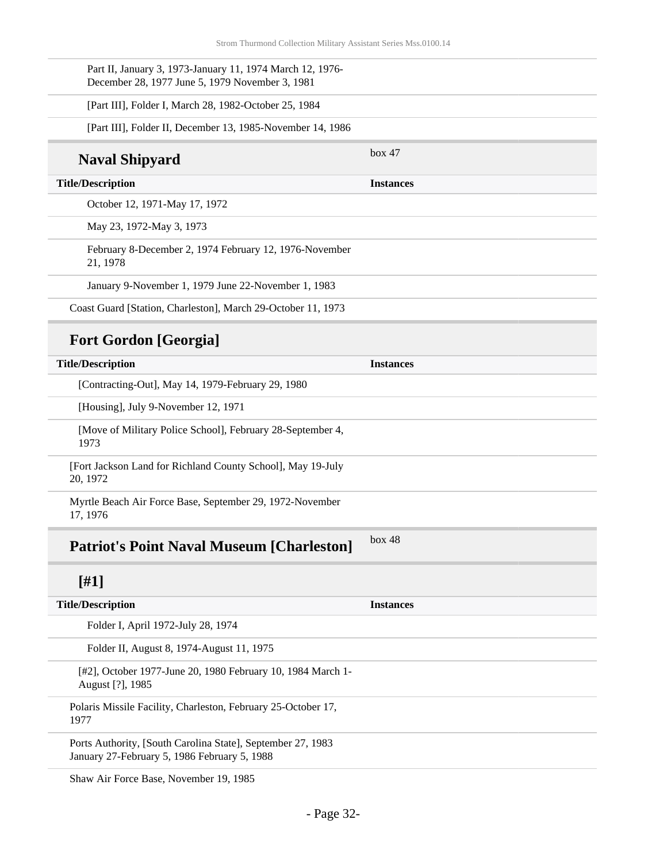| Part II, January 3, 1973-January 11, 1974 March 12, 1976-<br>December 28, 1977 June 5, 1979 November 3, 1981 |                  |
|--------------------------------------------------------------------------------------------------------------|------------------|
| [Part III], Folder I, March 28, 1982-October 25, 1984                                                        |                  |
| [Part III], Folder II, December 13, 1985-November 14, 1986                                                   |                  |
| <b>Naval Shipyard</b>                                                                                        | box 47           |
| <b>Title/Description</b>                                                                                     | <b>Instances</b> |
| October 12, 1971-May 17, 1972                                                                                |                  |
| May 23, 1972-May 3, 1973                                                                                     |                  |
| February 8-December 2, 1974 February 12, 1976-November<br>21, 1978                                           |                  |
| January 9-November 1, 1979 June 22-November 1, 1983                                                          |                  |
| Coast Guard [Station, Charleston], March 29-October 11, 1973                                                 |                  |
| <b>Fort Gordon [Georgia]</b>                                                                                 |                  |
| <b>Title/Description</b>                                                                                     | <b>Instances</b> |
| [Contracting-Out], May 14, 1979-February 29, 1980                                                            |                  |
| [Housing], July 9-November 12, 1971                                                                          |                  |
| [Move of Military Police School], February 28-September 4,<br>1973                                           |                  |
| [Fort Jackson Land for Richland County School], May 19-July<br>20, 1972                                      |                  |
| Myrtle Beach Air Force Base, September 29, 1972-November<br>17, 1976                                         |                  |
| <b>Patriot's Point Naval Museum [Charleston]</b>                                                             | box~48           |
| $[#1]$                                                                                                       |                  |
| <b>Title/Description</b>                                                                                     | <b>Instances</b> |
| Folder I, April 1972-July 28, 1974                                                                           |                  |
| Folder II, August 8, 1974-August 11, 1975                                                                    |                  |
| [#2], October 1977-June 20, 1980 February 10, 1984 March 1-<br>August [?], 1985                              |                  |
| Polaris Missile Facility, Charleston, February 25-October 17,<br>1977                                        |                  |
| Ports Authority, [South Carolina State], September 27, 1983<br>January 27-February 5, 1986 February 5, 1988  |                  |

Shaw Air Force Base, November 19, 1985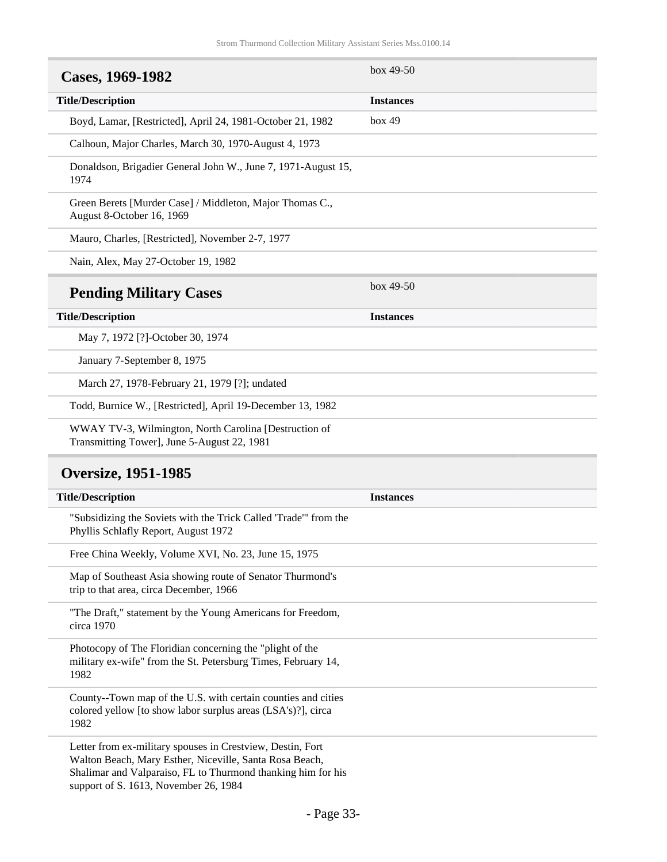<span id="page-32-0"></span>

| Cases, 1969-1982                                                                                                                      | box $49-50$      |
|---------------------------------------------------------------------------------------------------------------------------------------|------------------|
| <b>Title/Description</b>                                                                                                              | <b>Instances</b> |
| Boyd, Lamar, [Restricted], April 24, 1981-October 21, 1982                                                                            | box 49           |
| Calhoun, Major Charles, March 30, 1970-August 4, 1973                                                                                 |                  |
| Donaldson, Brigadier General John W., June 7, 1971-August 15,<br>1974                                                                 |                  |
| Green Berets [Murder Case] / Middleton, Major Thomas C.,<br>August 8-October 16, 1969                                                 |                  |
| Mauro, Charles, [Restricted], November 2-7, 1977                                                                                      |                  |
| Nain, Alex, May 27-October 19, 1982                                                                                                   |                  |
| <b>Pending Military Cases</b>                                                                                                         | box 49-50        |
| <b>Title/Description</b>                                                                                                              | <b>Instances</b> |
| May 7, 1972 [?]-October 30, 1974                                                                                                      |                  |
| January 7-September 8, 1975                                                                                                           |                  |
| March 27, 1978-February 21, 1979 [?]; undated                                                                                         |                  |
| Todd, Burnice W., [Restricted], April 19-December 13, 1982                                                                            |                  |
| WWAY TV-3, Wilmington, North Carolina [Destruction of<br>Transmitting Tower], June 5-August 22, 1981                                  |                  |
| <b>Oversize, 1951-1985</b>                                                                                                            |                  |
| <b>Title/Description</b>                                                                                                              | <b>Instances</b> |
| "Subsidizing the Soviets with the Trick Called 'Trade'" from the<br>Phyllis Schlafly Report, August 1972                              |                  |
| Free China Weekly, Volume XVI, No. 23, June 15, 1975                                                                                  |                  |
| Map of Southeast Asia showing route of Senator Thurmond's<br>trip to that area, circa December, 1966                                  |                  |
| "The Draft," statement by the Young Americans for Freedom,<br>circa 1970                                                              |                  |
| Photocopy of The Floridian concerning the "plight of the<br>military ex-wife" from the St. Petersburg Times, February 14,<br>1982     |                  |
| County--Town map of the U.S. with certain counties and cities<br>colored yellow [to show labor surplus areas (LSA's)?], circa<br>1982 |                  |
| Letter from ex-military spouses in Crestview, Destin, Fort<br>Walton Beach, Mary Esther, Niceville, Santa Rosa Beach,                 |                  |

<span id="page-32-1"></span>Shalimar and Valparaiso, FL to Thurmond thanking him for his

support of S. 1613, November 26, 1984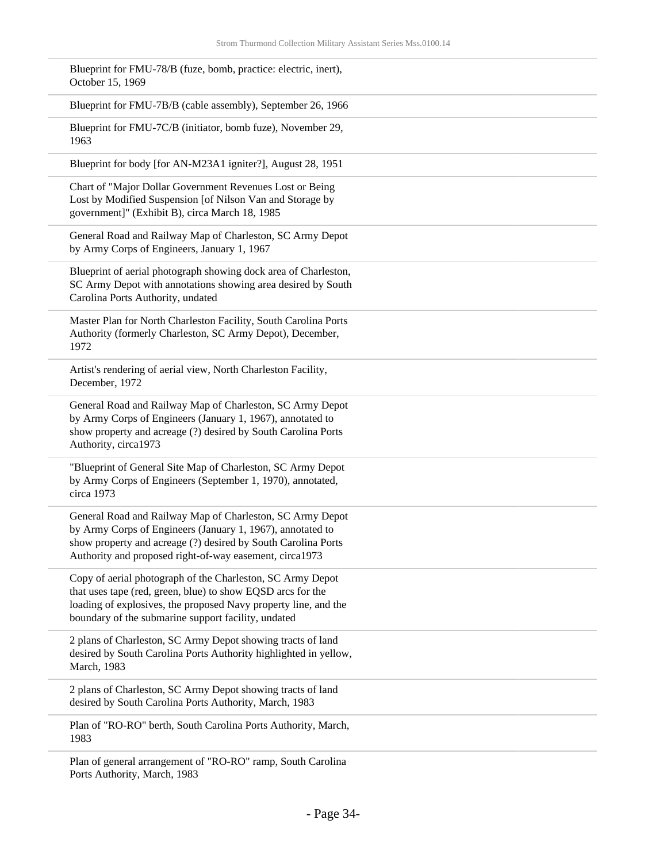| Blueprint for FMU-78/B (fuze, bomb, practice: electric, inert),<br>October 15, 1969                                                                                                                                                                 |
|-----------------------------------------------------------------------------------------------------------------------------------------------------------------------------------------------------------------------------------------------------|
| Blueprint for FMU-7B/B (cable assembly), September 26, 1966                                                                                                                                                                                         |
| Blueprint for FMU-7C/B (initiator, bomb fuze), November 29,<br>1963                                                                                                                                                                                 |
| Blueprint for body [for AN-M23A1 igniter?], August 28, 1951                                                                                                                                                                                         |
| Chart of "Major Dollar Government Revenues Lost or Being<br>Lost by Modified Suspension [of Nilson Van and Storage by<br>government]" (Exhibit B), circa March 18, 1985                                                                             |
| General Road and Railway Map of Charleston, SC Army Depot<br>by Army Corps of Engineers, January 1, 1967                                                                                                                                            |
| Blueprint of aerial photograph showing dock area of Charleston,<br>SC Army Depot with annotations showing area desired by South<br>Carolina Ports Authority, undated                                                                                |
| Master Plan for North Charleston Facility, South Carolina Ports<br>Authority (formerly Charleston, SC Army Depot), December,<br>1972                                                                                                                |
| Artist's rendering of aerial view, North Charleston Facility,<br>December, 1972                                                                                                                                                                     |
| General Road and Railway Map of Charleston, SC Army Depot<br>by Army Corps of Engineers (January 1, 1967), annotated to<br>show property and acreage (?) desired by South Carolina Ports<br>Authority, circa1973                                    |
| "Blueprint of General Site Map of Charleston, SC Army Depot<br>by Army Corps of Engineers (September 1, 1970), annotated,<br>circa 1973                                                                                                             |
| General Road and Railway Map of Charleston, SC Army Depot<br>by Army Corps of Engineers (January 1, 1967), annotated to<br>show property and acreage (?) desired by South Carolina Ports<br>Authority and proposed right-of-way easement, circa1973 |
| Copy of aerial photograph of the Charleston, SC Army Depot<br>that uses tape (red, green, blue) to show EQSD arcs for the<br>loading of explosives, the proposed Navy property line, and the<br>boundary of the submarine support facility, undated |
| 2 plans of Charleston, SC Army Depot showing tracts of land<br>desired by South Carolina Ports Authority highlighted in yellow,<br>March, 1983                                                                                                      |
| 2 plans of Charleston, SC Army Depot showing tracts of land<br>desired by South Carolina Ports Authority, March, 1983                                                                                                                               |
| Plan of "RO-RO" berth, South Carolina Ports Authority, March,<br>1983                                                                                                                                                                               |
| Plan of general arrangement of "RO-RO" ramp, South Carolina                                                                                                                                                                                         |

Ports Authority, March, 1983